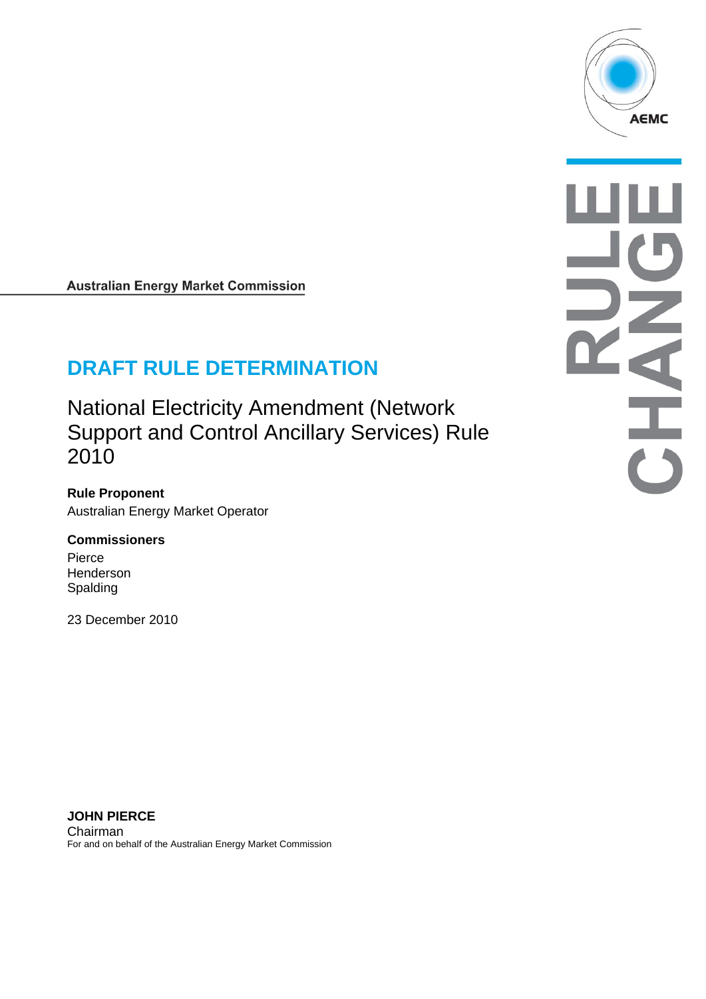

**Australian Energy Market Commission** 

# **DRAFT RULE DETERMINATION**

National Electricity Amendment (Network Support and Control Ancillary Services) Rule 2010

**Rule Proponent**  Australian Energy Market Operator

#### **Commissioners**

Pierce **Henderson** Spalding

23 December 2010

**JOHN PIERCE**  Chairman For and on behalf of the Australian Energy Market Commission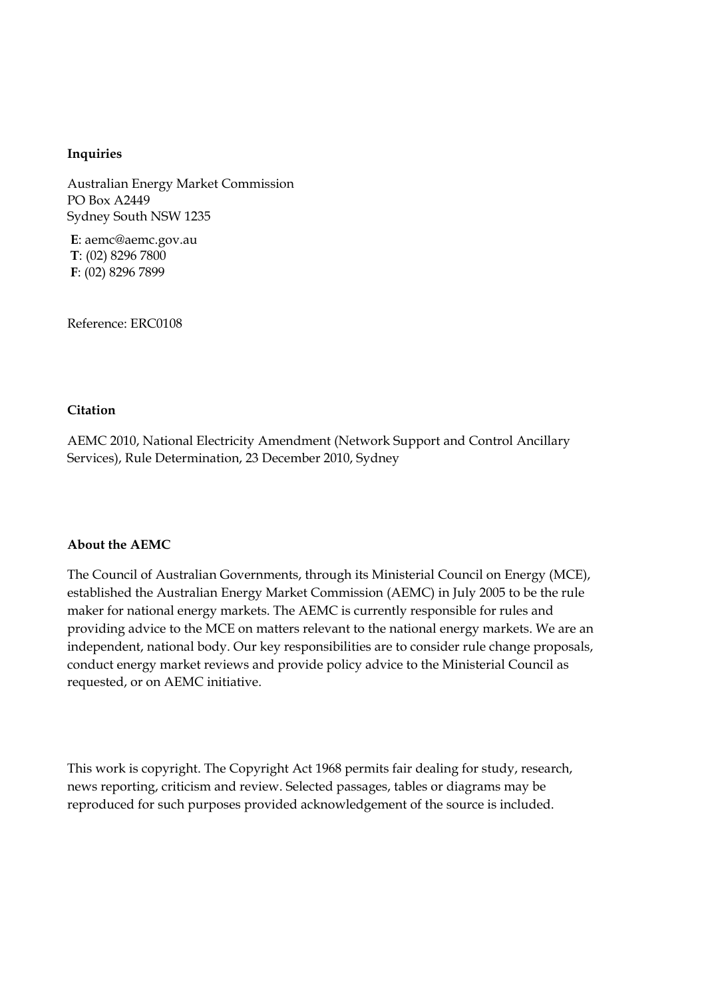#### **Inquiries**

Australian Energy Market Commission PO Box A2449 Sydney South NSW 1235

**E**: aemc@aemc.gov.au **T**: (02) 8296 7800 **F**: (02) 8296 7899

Reference: ERC0108

#### **Citation**

AEMC 2010, National Electricity Amendment (Network Support and Control Ancillary Services), Rule Determination, 23 December 2010, Sydney

#### **About the AEMC**

The Council of Australian Governments, through its Ministerial Council on Energy (MCE), established the Australian Energy Market Commission (AEMC) in July 2005 to be the rule maker for national energy markets. The AEMC is currently responsible for rules and providing advice to the MCE on matters relevant to the national energy markets. We are an independent, national body. Our key responsibilities are to consider rule change proposals, conduct energy market reviews and provide policy advice to the Ministerial Council as requested, or on AEMC initiative.

This work is copyright. The Copyright Act 1968 permits fair dealing for study, research, news reporting, criticism and review. Selected passages, tables or diagrams may be reproduced for such purposes provided acknowledgement of the source is included.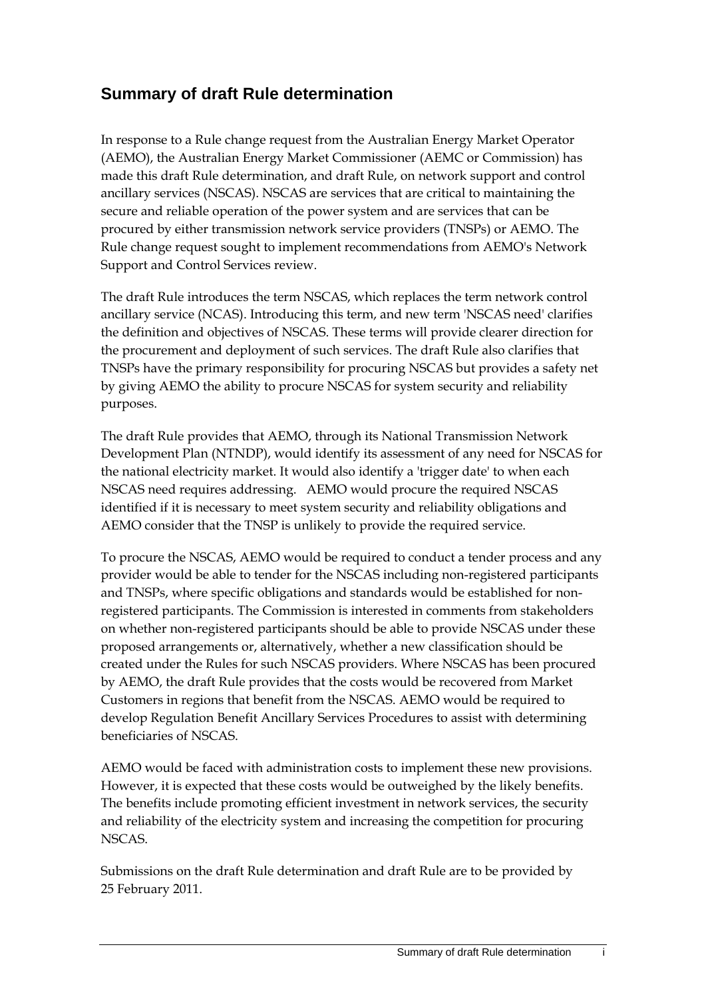### **Summary of draft Rule determination**

In response to a Rule change request from the Australian Energy Market Operator (AEMO), the Australian Energy Market Commissioner (AEMC or Commission) has made this draft Rule determination, and draft Rule, on network support and control ancillary services (NSCAS). NSCAS are services that are critical to maintaining the secure and reliable operation of the power system and are services that can be procured by either transmission network service providers (TNSPs) or AEMO. The Rule change request sought to implement recommendations from AEMO's Network Support and Control Services review.

The draft Rule introduces the term NSCAS, which replaces the term network control ancillary service (NCAS). Introducing this term, and new term 'NSCAS need' clarifies the definition and objectives of NSCAS. These terms will provide clearer direction for the procurement and deployment of such services. The draft Rule also clarifies that TNSPs have the primary responsibility for procuring NSCAS but provides a safety net by giving AEMO the ability to procure NSCAS for system security and reliability purposes.

The draft Rule provides that AEMO, through its National Transmission Network Development Plan (NTNDP), would identify its assessment of any need for NSCAS for the national electricity market. It would also identify a 'trigger date' to when each NSCAS need requires addressing. AEMO would procure the required NSCAS identified if it is necessary to meet system security and reliability obligations and AEMO consider that the TNSP is unlikely to provide the required service.

To procure the NSCAS, AEMO would be required to conduct a tender process and any provider would be able to tender for the NSCAS including non-registered participants and TNSPs, where specific obligations and standards would be established for nonregistered participants. The Commission is interested in comments from stakeholders on whether non-registered participants should be able to provide NSCAS under these proposed arrangements or, alternatively, whether a new classification should be created under the Rules for such NSCAS providers. Where NSCAS has been procured by AEMO, the draft Rule provides that the costs would be recovered from Market Customers in regions that benefit from the NSCAS. AEMO would be required to develop Regulation Benefit Ancillary Services Procedures to assist with determining beneficiaries of NSCAS.

AEMO would be faced with administration costs to implement these new provisions. However, it is expected that these costs would be outweighed by the likely benefits. The benefits include promoting efficient investment in network services, the security and reliability of the electricity system and increasing the competition for procuring NSCAS.

Submissions on the draft Rule determination and draft Rule are to be provided by 25 February 2011.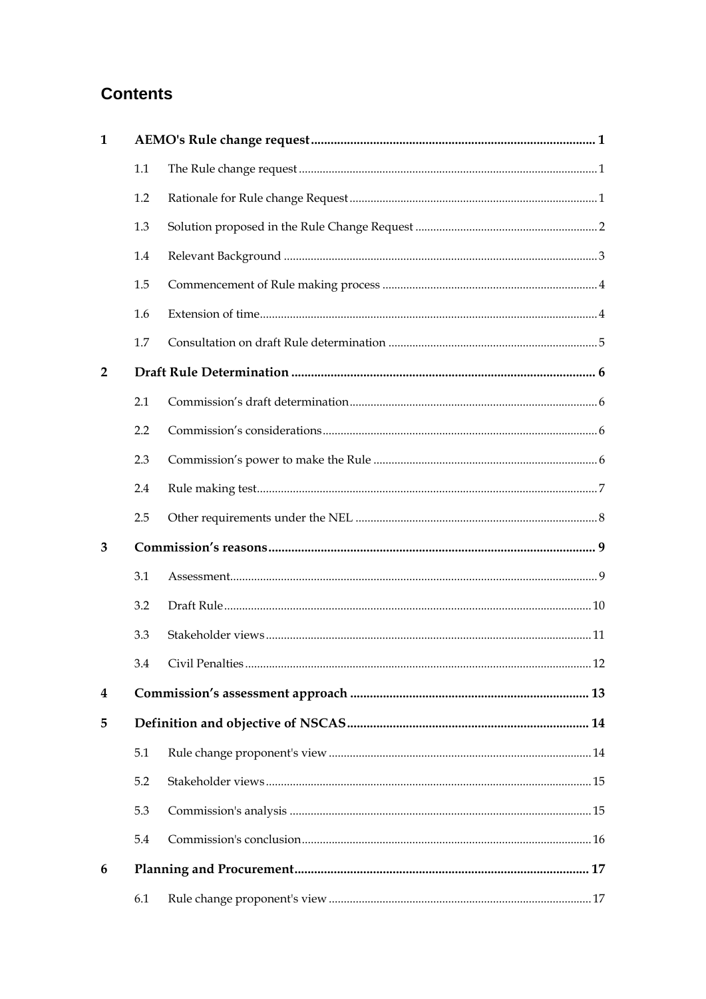## **Contents**

| 1              |     |  |  |
|----------------|-----|--|--|
|                | 1.1 |  |  |
|                | 1.2 |  |  |
|                | 1.3 |  |  |
|                | 1.4 |  |  |
|                | 1.5 |  |  |
|                | 1.6 |  |  |
|                | 1.7 |  |  |
| $\overline{2}$ |     |  |  |
|                | 2.1 |  |  |
|                | 2.2 |  |  |
|                | 2.3 |  |  |
|                | 2.4 |  |  |
|                | 2.5 |  |  |
| 3              |     |  |  |
|                | 3.1 |  |  |
|                | 3.2 |  |  |
|                | 3.3 |  |  |
|                | 3.4 |  |  |
| 4              |     |  |  |
| 5              |     |  |  |
|                | 5.1 |  |  |
|                | 5.2 |  |  |
|                | 5.3 |  |  |
|                | 5.4 |  |  |
| 6              |     |  |  |
|                | 6.1 |  |  |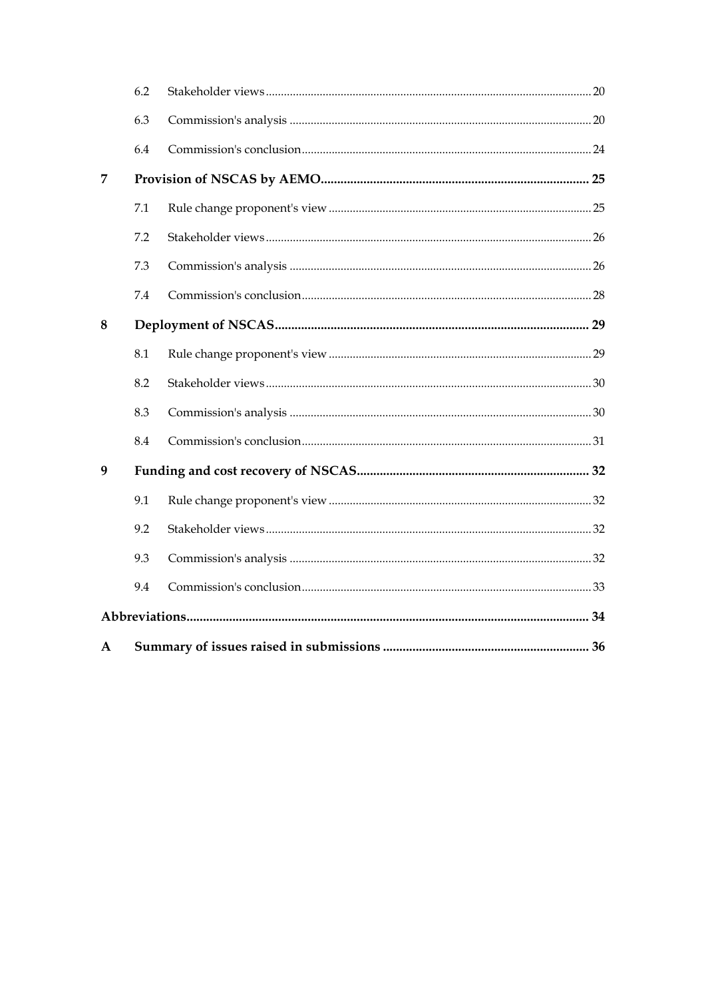|   | 6.2 |  |
|---|-----|--|
|   | 6.3 |  |
|   | 6.4 |  |
| 7 |     |  |
|   | 7.1 |  |
|   | 7.2 |  |
|   | 7.3 |  |
|   | 7.4 |  |
| 8 |     |  |
|   | 8.1 |  |
|   | 8.2 |  |
|   | 8.3 |  |
|   | 8.4 |  |
| 9 |     |  |
|   | 9.1 |  |
|   | 9.2 |  |
|   | 9.3 |  |
|   | 9.4 |  |
|   |     |  |
| A |     |  |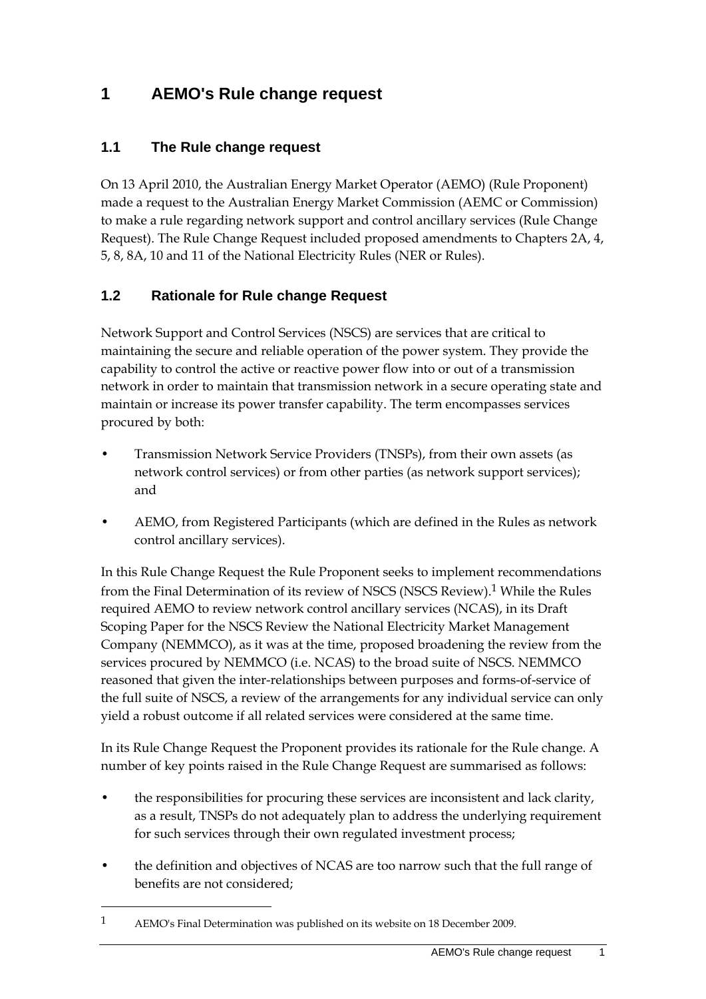## **1 AEMO's Rule change request**

#### **1.1 The Rule change request**

On 13 April 2010, the Australian Energy Market Operator (AEMO) (Rule Proponent) made a request to the Australian Energy Market Commission (AEMC or Commission) to make a rule regarding network support and control ancillary services (Rule Change Request). The Rule Change Request included proposed amendments to Chapters 2A, 4, 5, 8, 8A, 10 and 11 of the National Electricity Rules (NER or Rules).

#### **1.2 Rationale for Rule change Request**

Network Support and Control Services (NSCS) are services that are critical to maintaining the secure and reliable operation of the power system. They provide the capability to control the active or reactive power flow into or out of a transmission network in order to maintain that transmission network in a secure operating state and maintain or increase its power transfer capability. The term encompasses services procured by both:

- Transmission Network Service Providers (TNSPs), from their own assets (as network control services) or from other parties (as network support services); and
- AEMO, from Registered Participants (which are defined in the Rules as network control ancillary services).

In this Rule Change Request the Rule Proponent seeks to implement recommendations from the Final Determination of its review of NSCS (NSCS Review).1 While the Rules required AEMO to review network control ancillary services (NCAS), in its Draft Scoping Paper for the NSCS Review the National Electricity Market Management Company (NEMMCO), as it was at the time, proposed broadening the review from the services procured by NEMMCO (i.e. NCAS) to the broad suite of NSCS. NEMMCO reasoned that given the inter-relationships between purposes and forms-of-service of the full suite of NSCS, a review of the arrangements for any individual service can only yield a robust outcome if all related services were considered at the same time.

In its Rule Change Request the Proponent provides its rationale for the Rule change. A number of key points raised in the Rule Change Request are summarised as follows:

- the responsibilities for procuring these services are inconsistent and lack clarity, as a result, TNSPs do not adequately plan to address the underlying requirement for such services through their own regulated investment process;
- the definition and objectives of NCAS are too narrow such that the full range of benefits are not considered;

<sup>1</sup> AEMO's Final Determination was published on its website on 18 December 2009.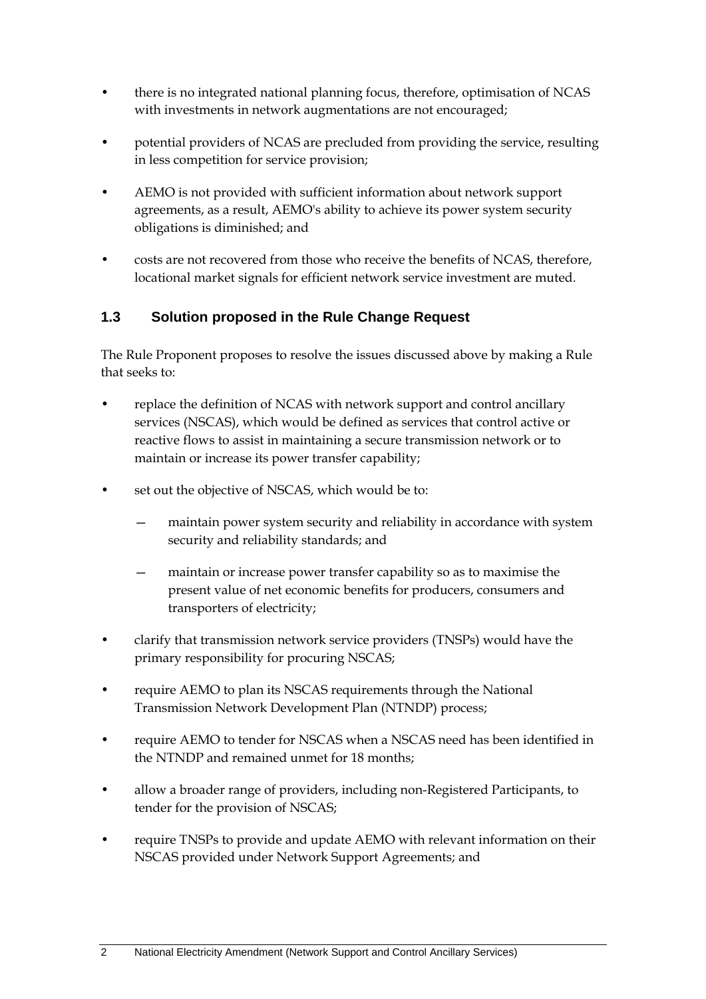- there is no integrated national planning focus, therefore, optimisation of NCAS with investments in network augmentations are not encouraged;
- potential providers of NCAS are precluded from providing the service, resulting in less competition for service provision;
- AEMO is not provided with sufficient information about network support agreements, as a result, AEMO's ability to achieve its power system security obligations is diminished; and
- costs are not recovered from those who receive the benefits of NCAS, therefore, locational market signals for efficient network service investment are muted.

#### **1.3 Solution proposed in the Rule Change Request**

The Rule Proponent proposes to resolve the issues discussed above by making a Rule that seeks to:

- replace the definition of NCAS with network support and control ancillary services (NSCAS), which would be defined as services that control active or reactive flows to assist in maintaining a secure transmission network or to maintain or increase its power transfer capability;
- set out the objective of NSCAS, which would be to:
	- maintain power system security and reliability in accordance with system security and reliability standards; and
	- maintain or increase power transfer capability so as to maximise the present value of net economic benefits for producers, consumers and transporters of electricity;
- clarify that transmission network service providers (TNSPs) would have the primary responsibility for procuring NSCAS;
- require AEMO to plan its NSCAS requirements through the National Transmission Network Development Plan (NTNDP) process;
- require AEMO to tender for NSCAS when a NSCAS need has been identified in the NTNDP and remained unmet for 18 months;
- allow a broader range of providers, including non-Registered Participants, to tender for the provision of NSCAS;
- require TNSPs to provide and update AEMO with relevant information on their NSCAS provided under Network Support Agreements; and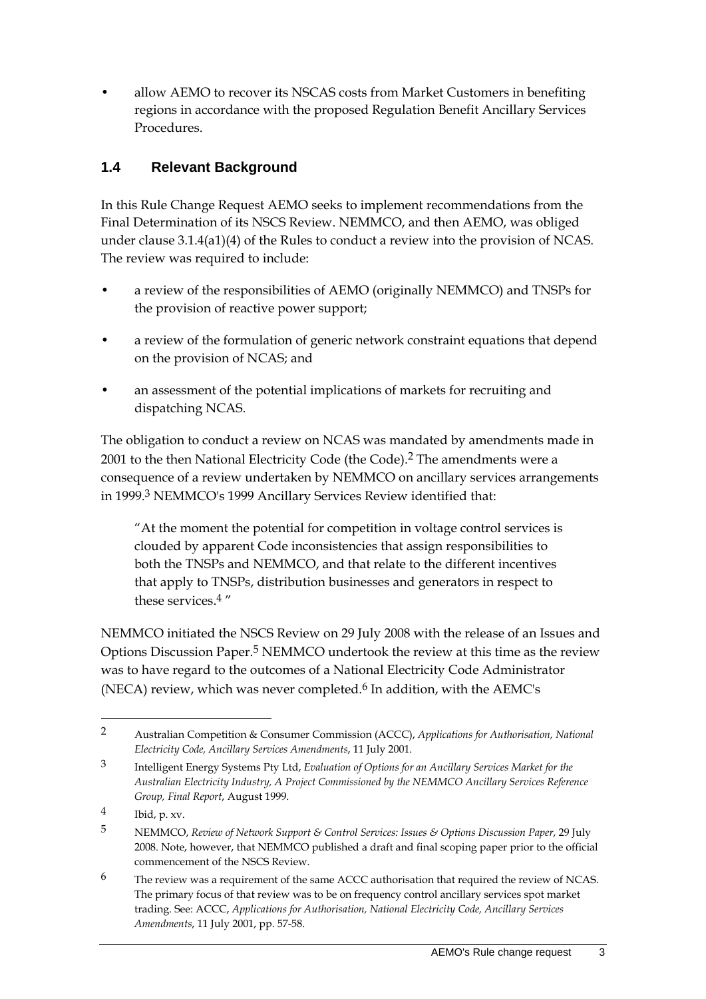• allow AEMO to recover its NSCAS costs from Market Customers in benefiting regions in accordance with the proposed Regulation Benefit Ancillary Services Procedures.

#### **1.4 Relevant Background**

In this Rule Change Request AEMO seeks to implement recommendations from the Final Determination of its NSCS Review. NEMMCO, and then AEMO, was obliged under clause 3.1.4(a1)(4) of the Rules to conduct a review into the provision of NCAS. The review was required to include:

- a review of the responsibilities of AEMO (originally NEMMCO) and TNSPs for the provision of reactive power support;
- a review of the formulation of generic network constraint equations that depend on the provision of NCAS; and
- an assessment of the potential implications of markets for recruiting and dispatching NCAS.

The obligation to conduct a review on NCAS was mandated by amendments made in 2001 to the then National Electricity Code (the Code).<sup>2</sup> The amendments were a consequence of a review undertaken by NEMMCO on ancillary services arrangements in 1999.3 NEMMCO's 1999 Ancillary Services Review identified that:

"At the moment the potential for competition in voltage control services is clouded by apparent Code inconsistencies that assign responsibilities to both the TNSPs and NEMMCO, and that relate to the different incentives that apply to TNSPs, distribution businesses and generators in respect to these services.4 "

NEMMCO initiated the NSCS Review on 29 July 2008 with the release of an Issues and Options Discussion Paper.5 NEMMCO undertook the review at this time as the review was to have regard to the outcomes of a National Electricity Code Administrator (NECA) review, which was never completed.<sup>6</sup> In addition, with the AEMC's

<u>.</u>

<sup>2</sup> Australian Competition & Consumer Commission (ACCC), *Applications for Authorisation, National Electricity Code, Ancillary Services Amendments*, 11 July 2001.

<sup>3</sup> Intelligent Energy Systems Pty Ltd, *Evaluation of Options for an Ancillary Services Market for the Australian Electricity Industry, A Project Commissioned by the NEMMCO Ancillary Services Reference Group, Final Report*, August 1999.

 $\frac{4}{1}$  Ibid, p. xv.

<sup>5</sup> NEMMCO, *Review of Network Support & Control Services: Issues & Options Discussion Paper*, 29 July 2008. Note, however, that NEMMCO published a draft and final scoping paper prior to the official commencement of the NSCS Review.

<sup>6</sup> The review was a requirement of the same ACCC authorisation that required the review of NCAS. The primary focus of that review was to be on frequency control ancillary services spot market trading. See: ACCC, *Applications for Authorisation, National Electricity Code, Ancillary Services Amendments*, 11 July 2001, pp. 57-58.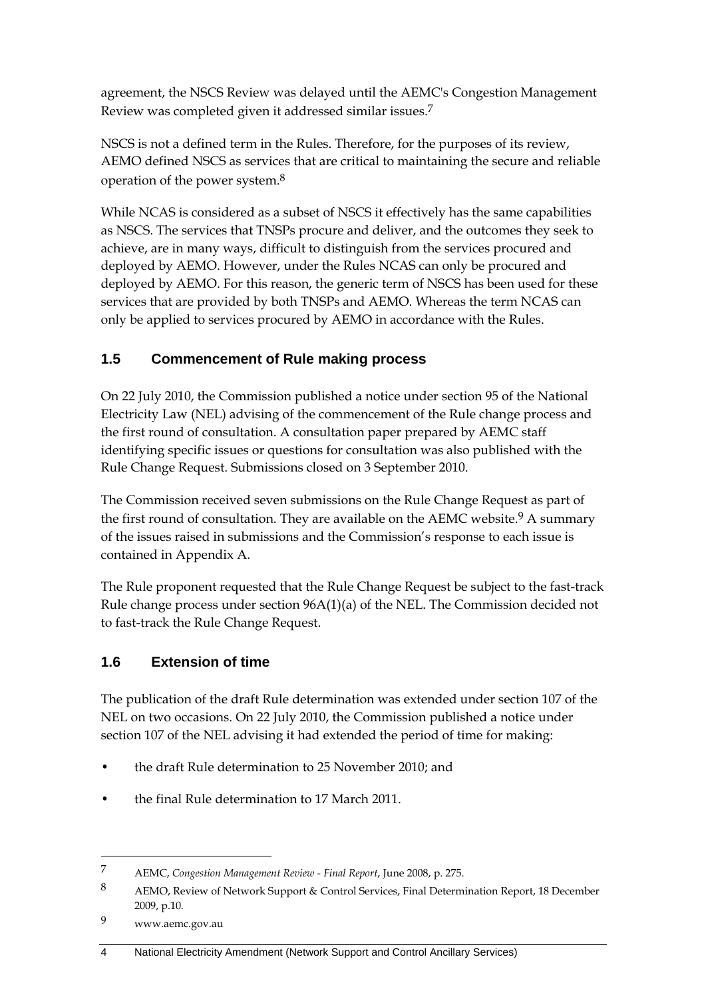agreement, the NSCS Review was delayed until the AEMC's Congestion Management Review was completed given it addressed similar issues.7

NSCS is not a defined term in the Rules. Therefore, for the purposes of its review, AEMO defined NSCS as services that are critical to maintaining the secure and reliable operation of the power system.8

While NCAS is considered as a subset of NSCS it effectively has the same capabilities as NSCS. The services that TNSPs procure and deliver, and the outcomes they seek to achieve, are in many ways, difficult to distinguish from the services procured and deployed by AEMO. However, under the Rules NCAS can only be procured and deployed by AEMO. For this reason, the generic term of NSCS has been used for these services that are provided by both TNSPs and AEMO. Whereas the term NCAS can only be applied to services procured by AEMO in accordance with the Rules.

### **1.5 Commencement of Rule making process**

On 22 July 2010, the Commission published a notice under section 95 of the National Electricity Law (NEL) advising of the commencement of the Rule change process and the first round of consultation. A consultation paper prepared by AEMC staff identifying specific issues or questions for consultation was also published with the Rule Change Request. Submissions closed on 3 September 2010.

The Commission received seven submissions on the Rule Change Request as part of the first round of consultation. They are available on the AEMC website.<sup>9</sup> A summary of the issues raised in submissions and the Commission's response to each issue is contained in Appendix A.

The Rule proponent requested that the Rule Change Request be subject to the fast-track Rule change process under section 96A(1)(a) of the NEL. The Commission decided not to fast-track the Rule Change Request.

### **1.6 Extension of time**

The publication of the draft Rule determination was extended under section 107 of the NEL on two occasions. On 22 July 2010, the Commission published a notice under section 107 of the NEL advising it had extended the period of time for making:

- the draft Rule determination to 25 November 2010; and
- the final Rule determination to 17 March 2011.

9 www.aemc.gov.au

<sup>7</sup> AEMC, *Congestion Management Review - Final Report*, June 2008, p. 275.

<sup>8</sup> AEMO, Review of Network Support & Control Services, Final Determination Report, 18 December 2009, p.10.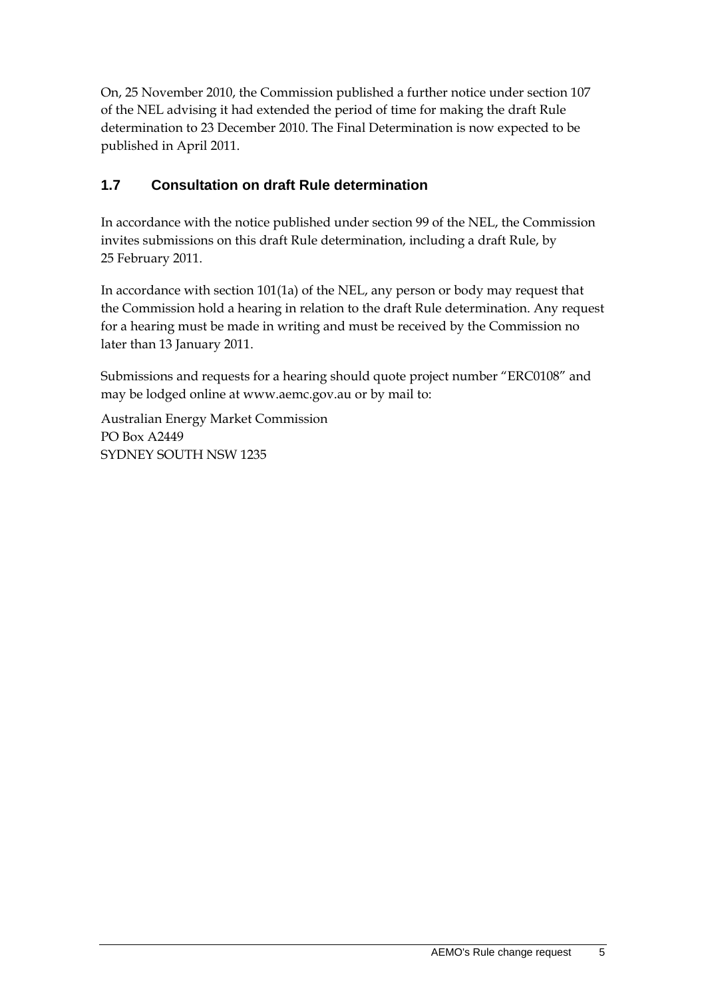On, 25 November 2010, the Commission published a further notice under section 107 of the NEL advising it had extended the period of time for making the draft Rule determination to 23 December 2010. The Final Determination is now expected to be published in April 2011.

#### **1.7 Consultation on draft Rule determination**

In accordance with the notice published under section 99 of the NEL, the Commission invites submissions on this draft Rule determination, including a draft Rule, by 25 February 2011.

In accordance with section 101(1a) of the NEL, any person or body may request that the Commission hold a hearing in relation to the draft Rule determination. Any request for a hearing must be made in writing and must be received by the Commission no later than 13 January 2011.

Submissions and requests for a hearing should quote project number "ERC0108" and may be lodged online at www.aemc.gov.au or by mail to:

Australian Energy Market Commission PO Box A2449 SYDNEY SOUTH NSW 1235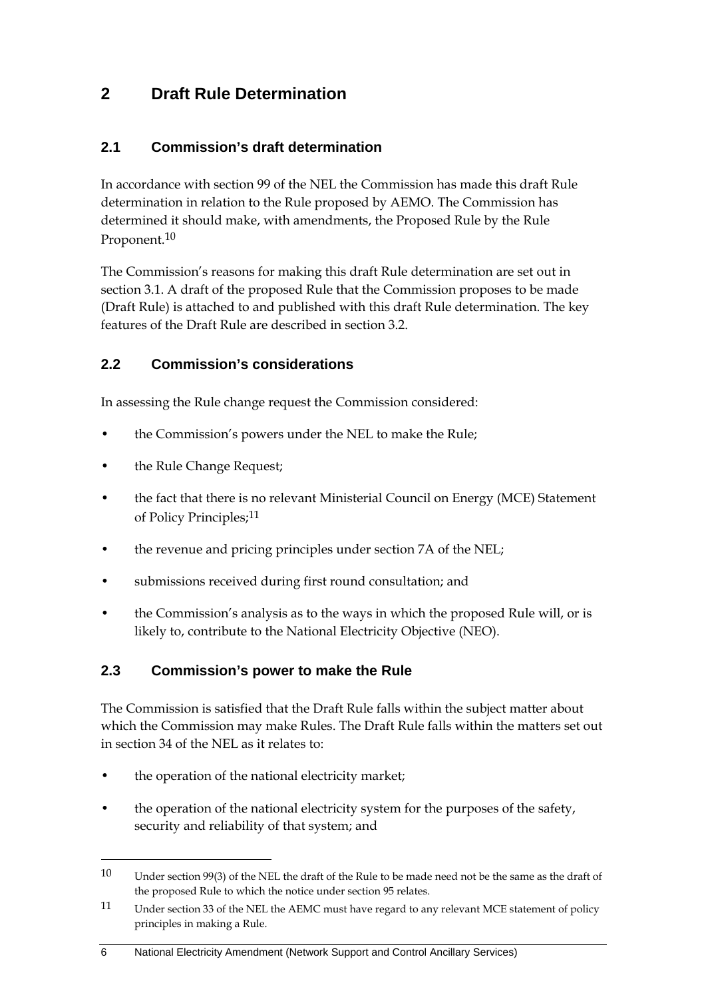### **2 Draft Rule Determination**

#### **2.1 Commission's draft determination**

In accordance with section 99 of the NEL the Commission has made this draft Rule determination in relation to the Rule proposed by AEMO. The Commission has determined it should make, with amendments, the Proposed Rule by the Rule Proponent.<sup>10</sup>

The Commission's reasons for making this draft Rule determination are set out in section 3.1. A draft of the proposed Rule that the Commission proposes to be made (Draft Rule) is attached to and published with this draft Rule determination. The key features of the Draft Rule are described in section 3.2.

#### **2.2 Commission's considerations**

In assessing the Rule change request the Commission considered:

- the Commission's powers under the NEL to make the Rule;
- the Rule Change Request;
- the fact that there is no relevant Ministerial Council on Energy (MCE) Statement of Policy Principles;11
- the revenue and pricing principles under section 7A of the NEL;
- submissions received during first round consultation; and
- the Commission's analysis as to the ways in which the proposed Rule will, or is likely to, contribute to the National Electricity Objective (NEO).

#### **2.3 Commission's power to make the Rule**

The Commission is satisfied that the Draft Rule falls within the subject matter about which the Commission may make Rules. The Draft Rule falls within the matters set out in section 34 of the NEL as it relates to:

- the operation of the national electricity market;
- the operation of the national electricity system for the purposes of the safety, security and reliability of that system; and

<sup>10</sup> Under section 99(3) of the NEL the draft of the Rule to be made need not be the same as the draft of the proposed Rule to which the notice under section 95 relates.

<sup>11</sup> Under section 33 of the NEL the AEMC must have regard to any relevant MCE statement of policy principles in making a Rule.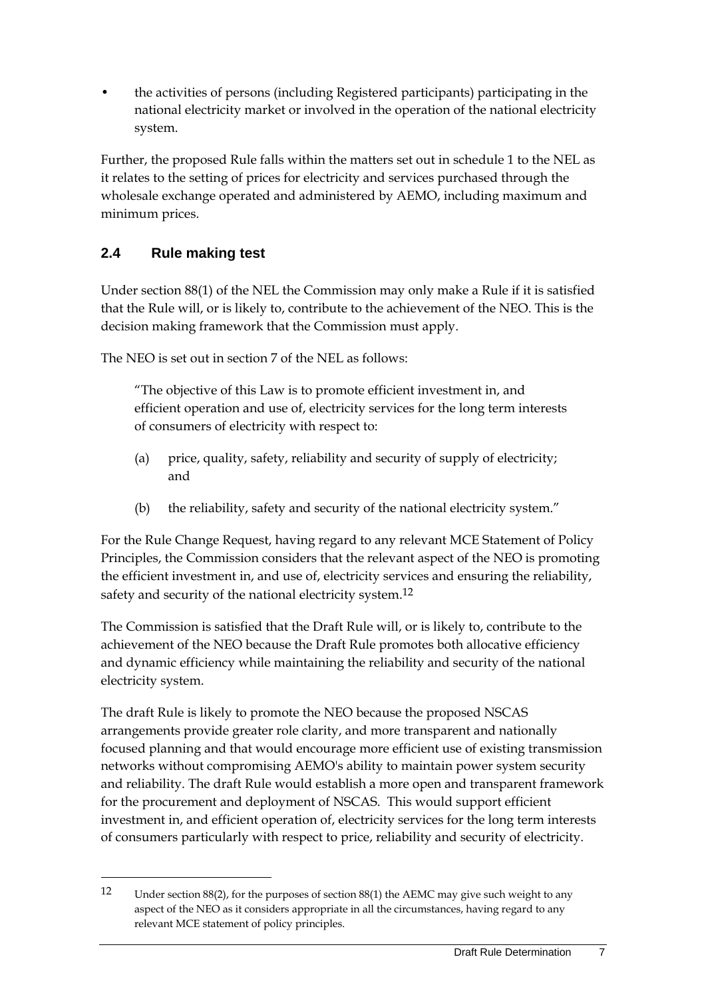• the activities of persons (including Registered participants) participating in the national electricity market or involved in the operation of the national electricity system.

Further, the proposed Rule falls within the matters set out in schedule 1 to the NEL as it relates to the setting of prices for electricity and services purchased through the wholesale exchange operated and administered by AEMO, including maximum and minimum prices.

#### **2.4 Rule making test**

<u>.</u>

Under section 88(1) of the NEL the Commission may only make a Rule if it is satisfied that the Rule will, or is likely to, contribute to the achievement of the NEO. This is the decision making framework that the Commission must apply.

The NEO is set out in section 7 of the NEL as follows:

"The objective of this Law is to promote efficient investment in, and efficient operation and use of, electricity services for the long term interests of consumers of electricity with respect to:

- (a) price, quality, safety, reliability and security of supply of electricity; and
- (b) the reliability, safety and security of the national electricity system."

For the Rule Change Request, having regard to any relevant MCE Statement of Policy Principles, the Commission considers that the relevant aspect of the NEO is promoting the efficient investment in, and use of, electricity services and ensuring the reliability, safety and security of the national electricity system.<sup>12</sup>

The Commission is satisfied that the Draft Rule will, or is likely to, contribute to the achievement of the NEO because the Draft Rule promotes both allocative efficiency and dynamic efficiency while maintaining the reliability and security of the national electricity system.

The draft Rule is likely to promote the NEO because the proposed NSCAS arrangements provide greater role clarity, and more transparent and nationally focused planning and that would encourage more efficient use of existing transmission networks without compromising AEMO's ability to maintain power system security and reliability. The draft Rule would establish a more open and transparent framework for the procurement and deployment of NSCAS. This would support efficient investment in, and efficient operation of, electricity services for the long term interests of consumers particularly with respect to price, reliability and security of electricity.

<sup>12</sup> Under section 88(2), for the purposes of section 88(1) the AEMC may give such weight to any aspect of the NEO as it considers appropriate in all the circumstances, having regard to any relevant MCE statement of policy principles.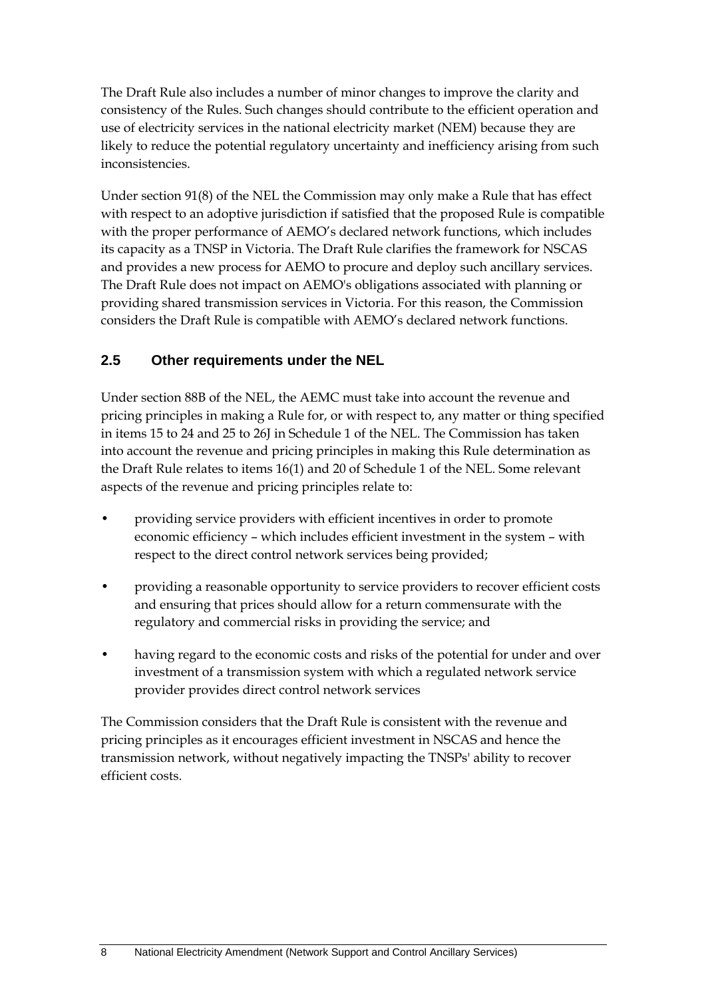The Draft Rule also includes a number of minor changes to improve the clarity and consistency of the Rules. Such changes should contribute to the efficient operation and use of electricity services in the national electricity market (NEM) because they are likely to reduce the potential regulatory uncertainty and inefficiency arising from such inconsistencies.

Under section 91(8) of the NEL the Commission may only make a Rule that has effect with respect to an adoptive jurisdiction if satisfied that the proposed Rule is compatible with the proper performance of AEMO's declared network functions, which includes its capacity as a TNSP in Victoria. The Draft Rule clarifies the framework for NSCAS and provides a new process for AEMO to procure and deploy such ancillary services. The Draft Rule does not impact on AEMO's obligations associated with planning or providing shared transmission services in Victoria. For this reason, the Commission considers the Draft Rule is compatible with AEMO's declared network functions.

#### **2.5 Other requirements under the NEL**

Under section 88B of the NEL, the AEMC must take into account the revenue and pricing principles in making a Rule for, or with respect to, any matter or thing specified in items 15 to 24 and 25 to 26J in Schedule 1 of the NEL. The Commission has taken into account the revenue and pricing principles in making this Rule determination as the Draft Rule relates to items 16(1) and 20 of Schedule 1 of the NEL. Some relevant aspects of the revenue and pricing principles relate to:

- providing service providers with efficient incentives in order to promote economic efficiency – which includes efficient investment in the system – with respect to the direct control network services being provided;
- providing a reasonable opportunity to service providers to recover efficient costs and ensuring that prices should allow for a return commensurate with the regulatory and commercial risks in providing the service; and
- having regard to the economic costs and risks of the potential for under and over investment of a transmission system with which a regulated network service provider provides direct control network services

The Commission considers that the Draft Rule is consistent with the revenue and pricing principles as it encourages efficient investment in NSCAS and hence the transmission network, without negatively impacting the TNSPs' ability to recover efficient costs.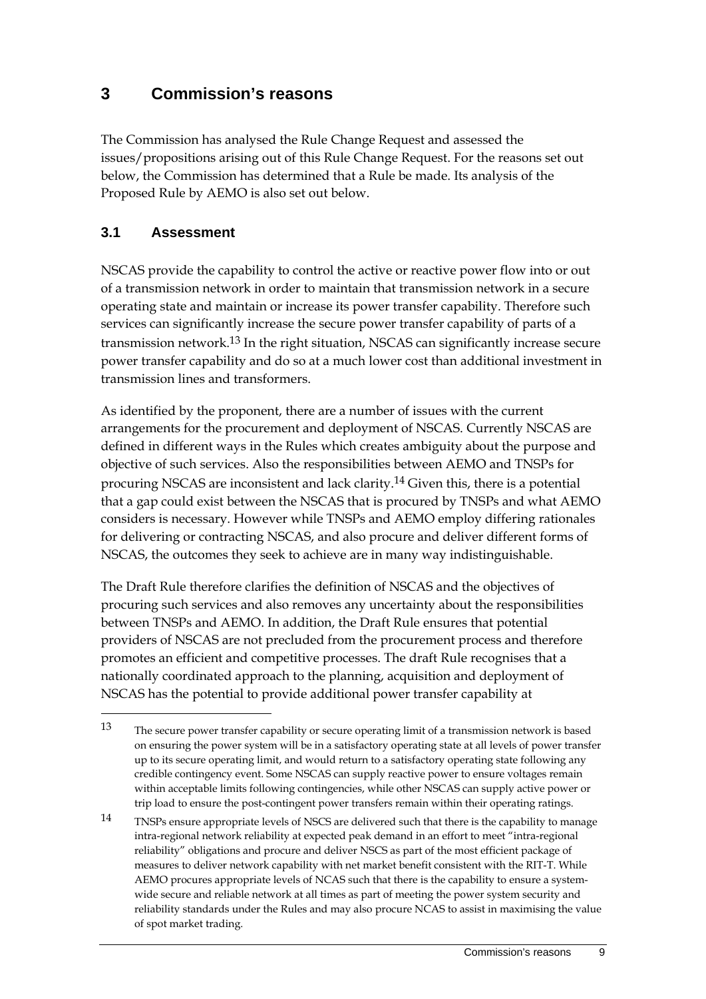### **3 Commission's reasons**

The Commission has analysed the Rule Change Request and assessed the issues/propositions arising out of this Rule Change Request. For the reasons set out below, the Commission has determined that a Rule be made. Its analysis of the Proposed Rule by AEMO is also set out below.

#### **3.1 Assessment**

<u>.</u>

NSCAS provide the capability to control the active or reactive power flow into or out of a transmission network in order to maintain that transmission network in a secure operating state and maintain or increase its power transfer capability. Therefore such services can significantly increase the secure power transfer capability of parts of a transmission network.13 In the right situation, NSCAS can significantly increase secure power transfer capability and do so at a much lower cost than additional investment in transmission lines and transformers.

As identified by the proponent, there are a number of issues with the current arrangements for the procurement and deployment of NSCAS. Currently NSCAS are defined in different ways in the Rules which creates ambiguity about the purpose and objective of such services. Also the responsibilities between AEMO and TNSPs for procuring NSCAS are inconsistent and lack clarity.14 Given this, there is a potential that a gap could exist between the NSCAS that is procured by TNSPs and what AEMO considers is necessary. However while TNSPs and AEMO employ differing rationales for delivering or contracting NSCAS, and also procure and deliver different forms of NSCAS, the outcomes they seek to achieve are in many way indistinguishable.

The Draft Rule therefore clarifies the definition of NSCAS and the objectives of procuring such services and also removes any uncertainty about the responsibilities between TNSPs and AEMO. In addition, the Draft Rule ensures that potential providers of NSCAS are not precluded from the procurement process and therefore promotes an efficient and competitive processes. The draft Rule recognises that a nationally coordinated approach to the planning, acquisition and deployment of NSCAS has the potential to provide additional power transfer capability at

<sup>13</sup> The secure power transfer capability or secure operating limit of a transmission network is based on ensuring the power system will be in a satisfactory operating state at all levels of power transfer up to its secure operating limit, and would return to a satisfactory operating state following any credible contingency event. Some NSCAS can supply reactive power to ensure voltages remain within acceptable limits following contingencies, while other NSCAS can supply active power or trip load to ensure the post-contingent power transfers remain within their operating ratings.

<sup>14</sup> TNSPs ensure appropriate levels of NSCS are delivered such that there is the capability to manage intra-regional network reliability at expected peak demand in an effort to meet "intra-regional reliability" obligations and procure and deliver NSCS as part of the most efficient package of measures to deliver network capability with net market benefit consistent with the RIT-T. While AEMO procures appropriate levels of NCAS such that there is the capability to ensure a systemwide secure and reliable network at all times as part of meeting the power system security and reliability standards under the Rules and may also procure NCAS to assist in maximising the value of spot market trading.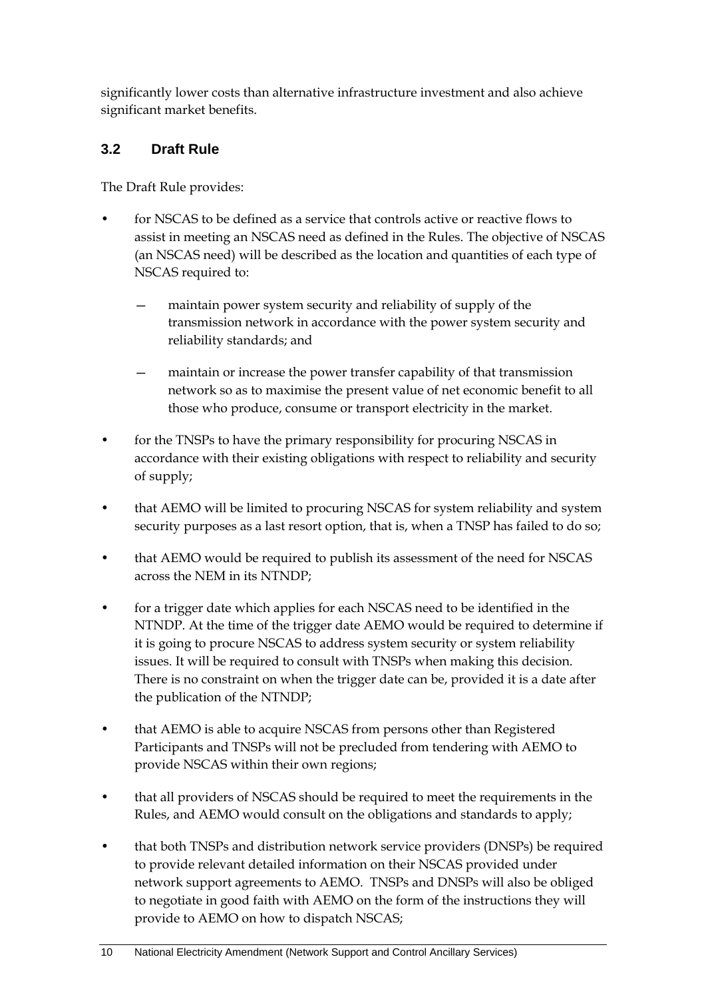significantly lower costs than alternative infrastructure investment and also achieve significant market benefits.

#### **3.2 Draft Rule**

The Draft Rule provides:

- for NSCAS to be defined as a service that controls active or reactive flows to assist in meeting an NSCAS need as defined in the Rules. The objective of NSCAS (an NSCAS need) will be described as the location and quantities of each type of NSCAS required to:
	- maintain power system security and reliability of supply of the transmission network in accordance with the power system security and reliability standards; and
	- maintain or increase the power transfer capability of that transmission network so as to maximise the present value of net economic benefit to all those who produce, consume or transport electricity in the market.
- for the TNSPs to have the primary responsibility for procuring NSCAS in accordance with their existing obligations with respect to reliability and security of supply;
- that AEMO will be limited to procuring NSCAS for system reliability and system security purposes as a last resort option, that is, when a TNSP has failed to do so;
- that AEMO would be required to publish its assessment of the need for NSCAS across the NEM in its NTNDP;
- for a trigger date which applies for each NSCAS need to be identified in the NTNDP. At the time of the trigger date AEMO would be required to determine if it is going to procure NSCAS to address system security or system reliability issues. It will be required to consult with TNSPs when making this decision. There is no constraint on when the trigger date can be, provided it is a date after the publication of the NTNDP;
- that AEMO is able to acquire NSCAS from persons other than Registered Participants and TNSPs will not be precluded from tendering with AEMO to provide NSCAS within their own regions;
- that all providers of NSCAS should be required to meet the requirements in the Rules, and AEMO would consult on the obligations and standards to apply;
- that both TNSPs and distribution network service providers (DNSPs) be required to provide relevant detailed information on their NSCAS provided under network support agreements to AEMO. TNSPs and DNSPs will also be obliged to negotiate in good faith with AEMO on the form of the instructions they will provide to AEMO on how to dispatch NSCAS;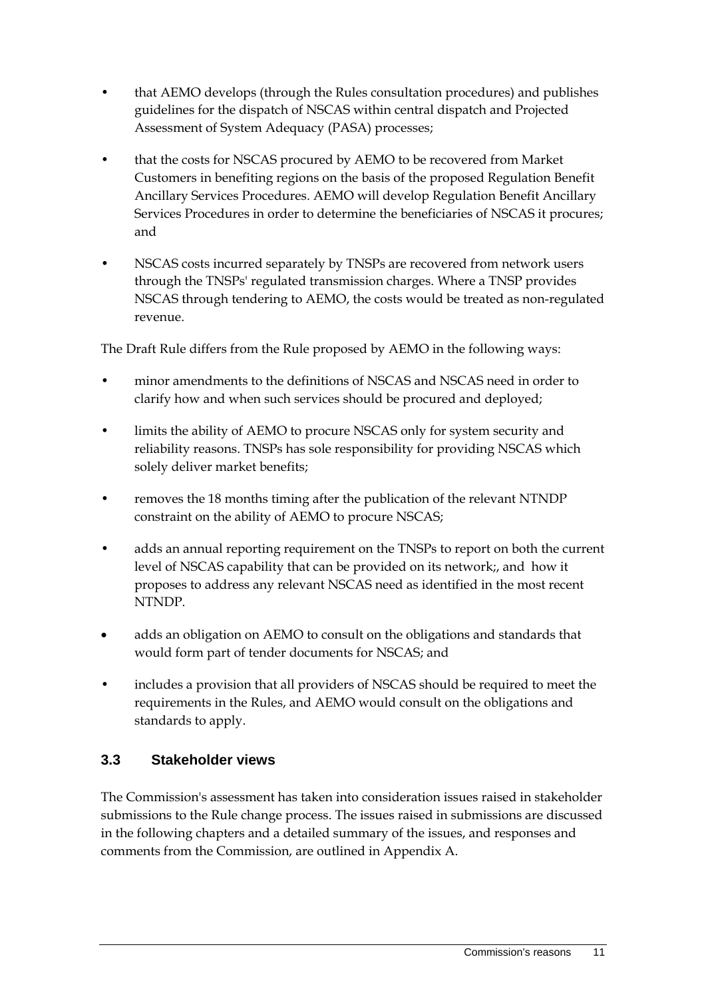- that AEMO develops (through the Rules consultation procedures) and publishes guidelines for the dispatch of NSCAS within central dispatch and Projected Assessment of System Adequacy (PASA) processes;
- that the costs for NSCAS procured by AEMO to be recovered from Market Customers in benefiting regions on the basis of the proposed Regulation Benefit Ancillary Services Procedures. AEMO will develop Regulation Benefit Ancillary Services Procedures in order to determine the beneficiaries of NSCAS it procures; and
- NSCAS costs incurred separately by TNSPs are recovered from network users through the TNSPs' regulated transmission charges. Where a TNSP provides NSCAS through tendering to AEMO, the costs would be treated as non-regulated revenue.

The Draft Rule differs from the Rule proposed by AEMO in the following ways:

- minor amendments to the definitions of NSCAS and NSCAS need in order to clarify how and when such services should be procured and deployed;
- limits the ability of AEMO to procure NSCAS only for system security and reliability reasons. TNSPs has sole responsibility for providing NSCAS which solely deliver market benefits;
- removes the 18 months timing after the publication of the relevant NTNDP constraint on the ability of AEMO to procure NSCAS;
- adds an annual reporting requirement on the TNSPs to report on both the current level of NSCAS capability that can be provided on its network;, and how it proposes to address any relevant NSCAS need as identified in the most recent NTNDP.
- adds an obligation on AEMO to consult on the obligations and standards that would form part of tender documents for NSCAS; and
- includes a provision that all providers of NSCAS should be required to meet the requirements in the Rules, and AEMO would consult on the obligations and standards to apply.

### **3.3 Stakeholder views**

The Commission's assessment has taken into consideration issues raised in stakeholder submissions to the Rule change process. The issues raised in submissions are discussed in the following chapters and a detailed summary of the issues, and responses and comments from the Commission, are outlined in Appendix A.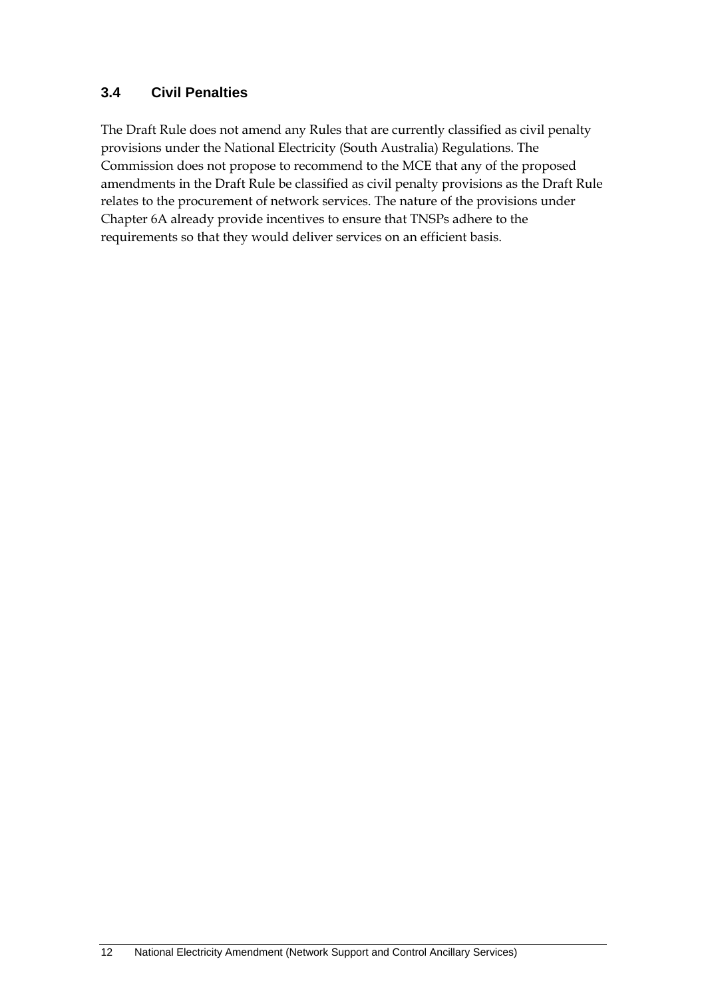#### **3.4 Civil Penalties**

The Draft Rule does not amend any Rules that are currently classified as civil penalty provisions under the National Electricity (South Australia) Regulations. The Commission does not propose to recommend to the MCE that any of the proposed amendments in the Draft Rule be classified as civil penalty provisions as the Draft Rule relates to the procurement of network services. The nature of the provisions under Chapter 6A already provide incentives to ensure that TNSPs adhere to the requirements so that they would deliver services on an efficient basis.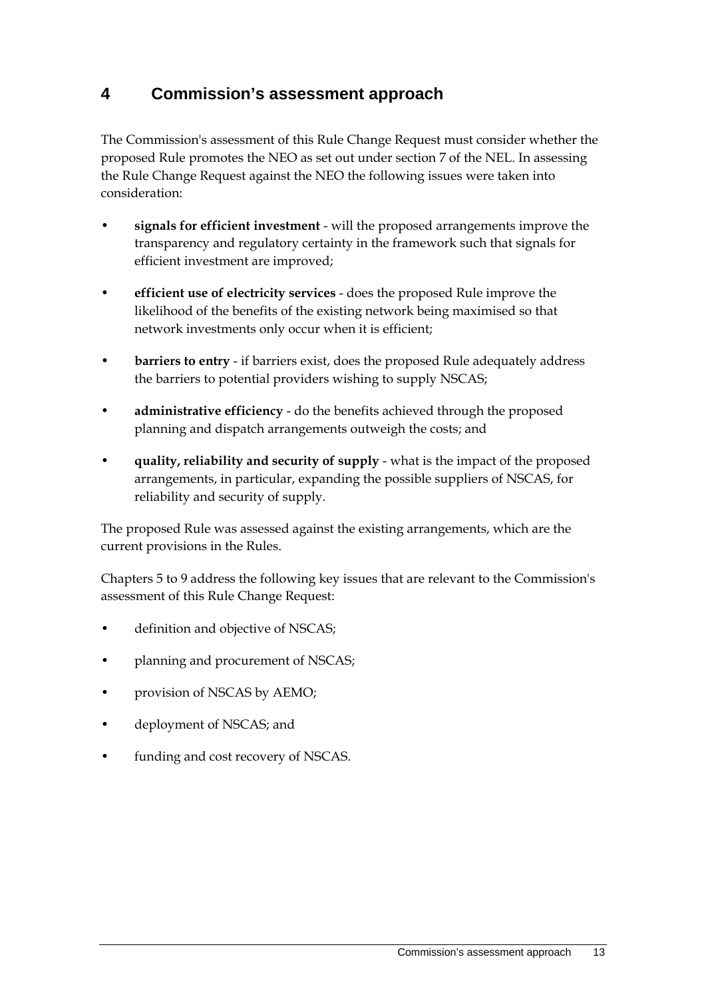### **4 Commission's assessment approach**

The Commission's assessment of this Rule Change Request must consider whether the proposed Rule promotes the NEO as set out under section 7 of the NEL. In assessing the Rule Change Request against the NEO the following issues were taken into consideration:

- **signals for efficient investment** will the proposed arrangements improve the transparency and regulatory certainty in the framework such that signals for efficient investment are improved;
- **efficient use of electricity services** does the proposed Rule improve the likelihood of the benefits of the existing network being maximised so that network investments only occur when it is efficient;
- **barriers to entry** if barriers exist, does the proposed Rule adequately address the barriers to potential providers wishing to supply NSCAS;
- **administrative efficiency** do the benefits achieved through the proposed planning and dispatch arrangements outweigh the costs; and
- **quality, reliability and security of supply** what is the impact of the proposed arrangements, in particular, expanding the possible suppliers of NSCAS, for reliability and security of supply.

The proposed Rule was assessed against the existing arrangements, which are the current provisions in the Rules.

Chapters 5 to 9 address the following key issues that are relevant to the Commission's assessment of this Rule Change Request:

- definition and objective of NSCAS;
- planning and procurement of NSCAS;
- provision of NSCAS by AEMO;
- deployment of NSCAS; and
- funding and cost recovery of NSCAS.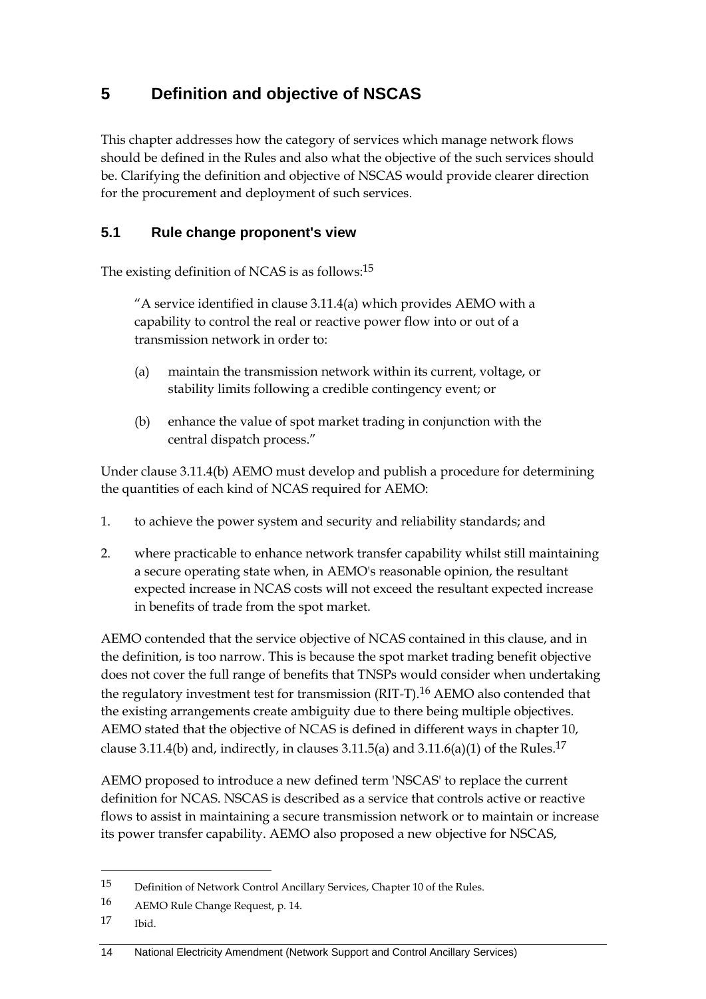## **5 Definition and objective of NSCAS**

This chapter addresses how the category of services which manage network flows should be defined in the Rules and also what the objective of the such services should be. Clarifying the definition and objective of NSCAS would provide clearer direction for the procurement and deployment of such services.

#### **5.1 Rule change proponent's view**

The existing definition of NCAS is as follows:15

"A service identified in clause 3.11.4(a) which provides AEMO with a capability to control the real or reactive power flow into or out of a transmission network in order to:

- (a) maintain the transmission network within its current, voltage, or stability limits following a credible contingency event; or
- (b) enhance the value of spot market trading in conjunction with the central dispatch process."

Under clause 3.11.4(b) AEMO must develop and publish a procedure for determining the quantities of each kind of NCAS required for AEMO:

- 1. to achieve the power system and security and reliability standards; and
- 2. where practicable to enhance network transfer capability whilst still maintaining a secure operating state when, in AEMO's reasonable opinion, the resultant expected increase in NCAS costs will not exceed the resultant expected increase in benefits of trade from the spot market.

AEMO contended that the service objective of NCAS contained in this clause, and in the definition, is too narrow. This is because the spot market trading benefit objective does not cover the full range of benefits that TNSPs would consider when undertaking the regulatory investment test for transmission (RIT-T).<sup>16</sup> AEMO also contended that the existing arrangements create ambiguity due to there being multiple objectives. AEMO stated that the objective of NCAS is defined in different ways in chapter 10, clause 3.11.4(b) and, indirectly, in clauses 3.11.5(a) and 3.11.6(a)(1) of the Rules.<sup>17</sup>

AEMO proposed to introduce a new defined term 'NSCAS' to replace the current definition for NCAS. NSCAS is described as a service that controls active or reactive flows to assist in maintaining a secure transmission network or to maintain or increase its power transfer capability. AEMO also proposed a new objective for NSCAS,

<u>.</u>

<sup>15</sup> Definition of Network Control Ancillary Services, Chapter 10 of the Rules.

<sup>16</sup> AEMO Rule Change Request, p. 14.

<sup>17</sup> Ibid.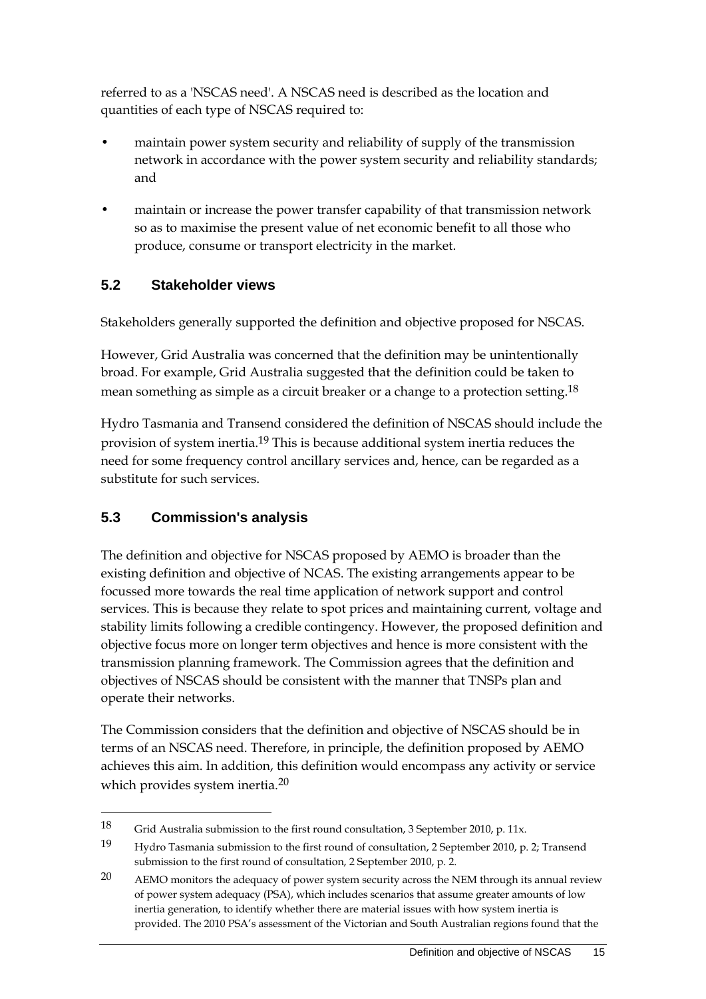referred to as a 'NSCAS need'. A NSCAS need is described as the location and quantities of each type of NSCAS required to:

- maintain power system security and reliability of supply of the transmission network in accordance with the power system security and reliability standards; and
- maintain or increase the power transfer capability of that transmission network so as to maximise the present value of net economic benefit to all those who produce, consume or transport electricity in the market.

### **5.2 Stakeholder views**

Stakeholders generally supported the definition and objective proposed for NSCAS.

However, Grid Australia was concerned that the definition may be unintentionally broad. For example, Grid Australia suggested that the definition could be taken to mean something as simple as a circuit breaker or a change to a protection setting.18

Hydro Tasmania and Transend considered the definition of NSCAS should include the provision of system inertia.19 This is because additional system inertia reduces the need for some frequency control ancillary services and, hence, can be regarded as a substitute for such services.

### **5.3 Commission's analysis**

1

The definition and objective for NSCAS proposed by AEMO is broader than the existing definition and objective of NCAS. The existing arrangements appear to be focussed more towards the real time application of network support and control services. This is because they relate to spot prices and maintaining current, voltage and stability limits following a credible contingency. However, the proposed definition and objective focus more on longer term objectives and hence is more consistent with the transmission planning framework. The Commission agrees that the definition and objectives of NSCAS should be consistent with the manner that TNSPs plan and operate their networks.

The Commission considers that the definition and objective of NSCAS should be in terms of an NSCAS need. Therefore, in principle, the definition proposed by AEMO achieves this aim. In addition, this definition would encompass any activity or service which provides system inertia.<sup>20</sup>

<sup>18</sup> Grid Australia submission to the first round consultation, 3 September 2010, p. 11x.

<sup>19</sup> Hydro Tasmania submission to the first round of consultation, 2 September 2010, p. 2; Transend submission to the first round of consultation, 2 September 2010, p. 2.

<sup>20</sup> AEMO monitors the adequacy of power system security across the NEM through its annual review of power system adequacy (PSA), which includes scenarios that assume greater amounts of low inertia generation, to identify whether there are material issues with how system inertia is provided. The 2010 PSA's assessment of the Victorian and South Australian regions found that the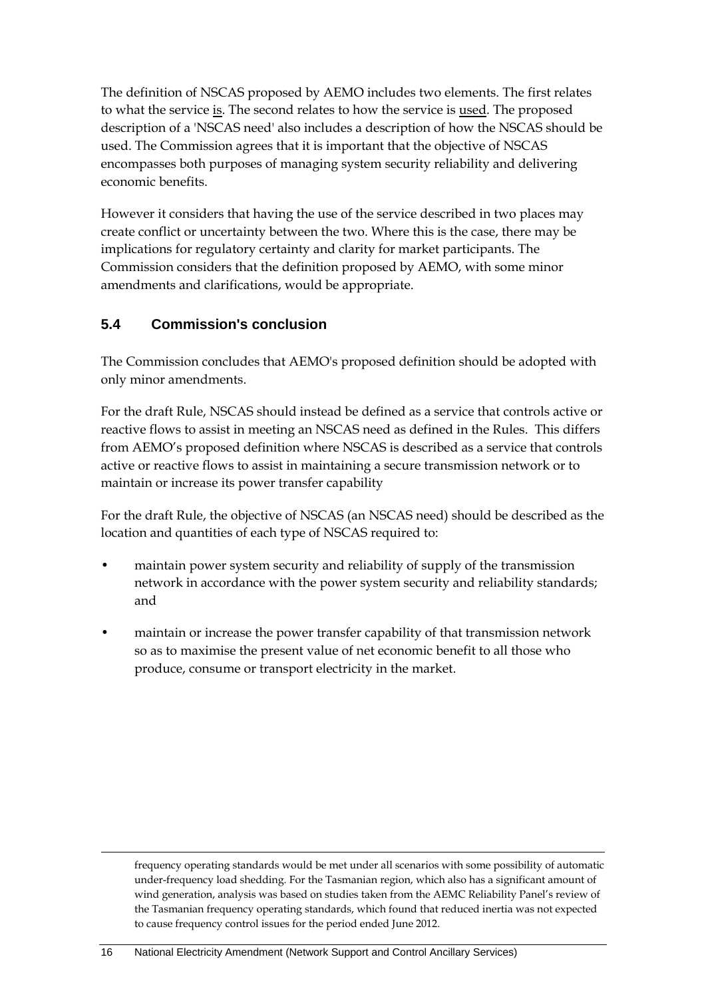The definition of NSCAS proposed by AEMO includes two elements. The first relates to what the service is. The second relates to how the service is used. The proposed description of a 'NSCAS need' also includes a description of how the NSCAS should be used. The Commission agrees that it is important that the objective of NSCAS encompasses both purposes of managing system security reliability and delivering economic benefits.

However it considers that having the use of the service described in two places may create conflict or uncertainty between the two. Where this is the case, there may be implications for regulatory certainty and clarity for market participants. The Commission considers that the definition proposed by AEMO, with some minor amendments and clarifications, would be appropriate.

#### **5.4 Commission's conclusion**

1

The Commission concludes that AEMO's proposed definition should be adopted with only minor amendments.

For the draft Rule, NSCAS should instead be defined as a service that controls active or reactive flows to assist in meeting an NSCAS need as defined in the Rules. This differs from AEMO's proposed definition where NSCAS is described as a service that controls active or reactive flows to assist in maintaining a secure transmission network or to maintain or increase its power transfer capability

For the draft Rule, the objective of NSCAS (an NSCAS need) should be described as the location and quantities of each type of NSCAS required to:

- maintain power system security and reliability of supply of the transmission network in accordance with the power system security and reliability standards; and
- maintain or increase the power transfer capability of that transmission network so as to maximise the present value of net economic benefit to all those who produce, consume or transport electricity in the market.

frequency operating standards would be met under all scenarios with some possibility of automatic under-frequency load shedding. For the Tasmanian region, which also has a significant amount of wind generation, analysis was based on studies taken from the AEMC Reliability Panel's review of the Tasmanian frequency operating standards, which found that reduced inertia was not expected to cause frequency control issues for the period ended June 2012.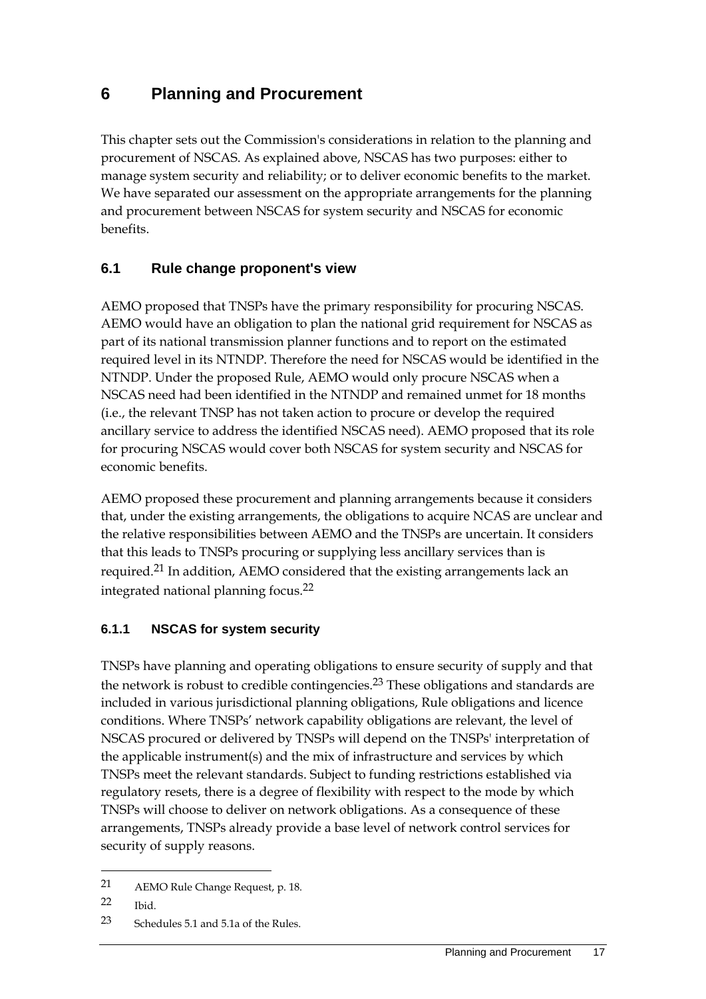### **6 Planning and Procurement**

This chapter sets out the Commission's considerations in relation to the planning and procurement of NSCAS. As explained above, NSCAS has two purposes: either to manage system security and reliability; or to deliver economic benefits to the market. We have separated our assessment on the appropriate arrangements for the planning and procurement between NSCAS for system security and NSCAS for economic benefits.

#### **6.1 Rule change proponent's view**

AEMO proposed that TNSPs have the primary responsibility for procuring NSCAS. AEMO would have an obligation to plan the national grid requirement for NSCAS as part of its national transmission planner functions and to report on the estimated required level in its NTNDP. Therefore the need for NSCAS would be identified in the NTNDP. Under the proposed Rule, AEMO would only procure NSCAS when a NSCAS need had been identified in the NTNDP and remained unmet for 18 months (i.e., the relevant TNSP has not taken action to procure or develop the required ancillary service to address the identified NSCAS need). AEMO proposed that its role for procuring NSCAS would cover both NSCAS for system security and NSCAS for economic benefits.

AEMO proposed these procurement and planning arrangements because it considers that, under the existing arrangements, the obligations to acquire NCAS are unclear and the relative responsibilities between AEMO and the TNSPs are uncertain. It considers that this leads to TNSPs procuring or supplying less ancillary services than is required.21 In addition, AEMO considered that the existing arrangements lack an integrated national planning focus.22

#### **6.1.1 NSCAS for system security**

TNSPs have planning and operating obligations to ensure security of supply and that the network is robust to credible contingencies.<sup>23</sup> These obligations and standards are included in various jurisdictional planning obligations, Rule obligations and licence conditions. Where TNSPs' network capability obligations are relevant, the level of NSCAS procured or delivered by TNSPs will depend on the TNSPs' interpretation of the applicable instrument(s) and the mix of infrastructure and services by which TNSPs meet the relevant standards. Subject to funding restrictions established via regulatory resets, there is a degree of flexibility with respect to the mode by which TNSPs will choose to deliver on network obligations. As a consequence of these arrangements, TNSPs already provide a base level of network control services for security of supply reasons.

<u>.</u>

<sup>21</sup> AEMO Rule Change Request, p. 18.

<sup>22</sup> Ibid.

<sup>23</sup> Schedules 5.1 and 5.1a of the Rules.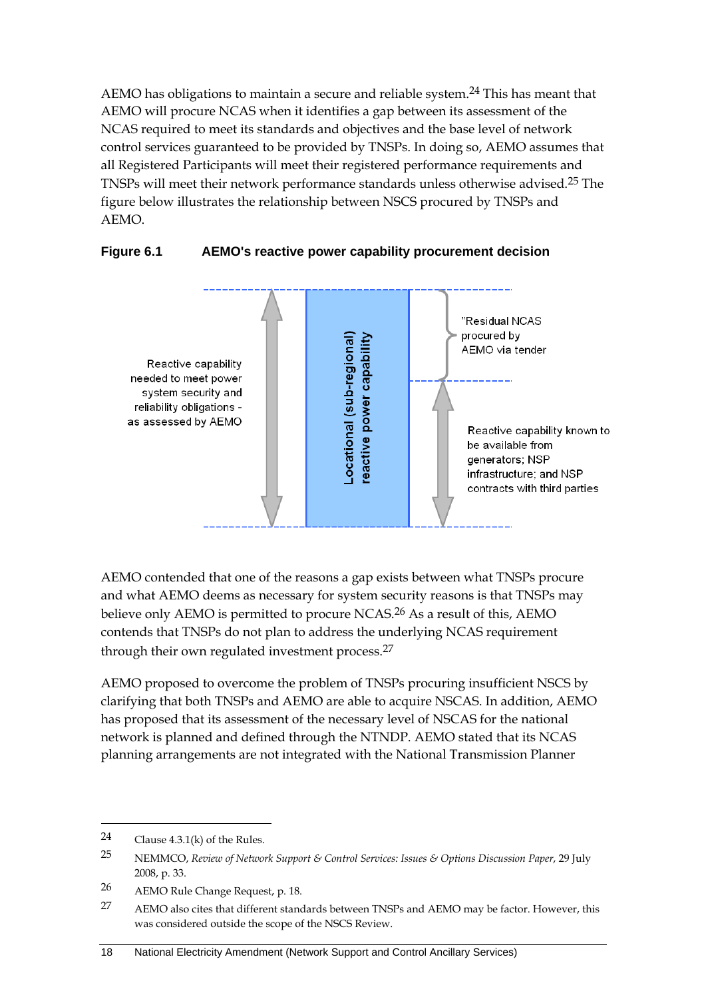AEMO has obligations to maintain a secure and reliable system.<sup>24</sup> This has meant that AEMO will procure NCAS when it identifies a gap between its assessment of the NCAS required to meet its standards and objectives and the base level of network control services guaranteed to be provided by TNSPs. In doing so, AEMO assumes that all Registered Participants will meet their registered performance requirements and TNSPs will meet their network performance standards unless otherwise advised.25 The figure below illustrates the relationship between NSCS procured by TNSPs and AEMO.



#### **Figure 6.1 AEMO's reactive power capability procurement decision**

AEMO contended that one of the reasons a gap exists between what TNSPs procure and what AEMO deems as necessary for system security reasons is that TNSPs may believe only AEMO is permitted to procure NCAS.<sup>26</sup> As a result of this, AEMO contends that TNSPs do not plan to address the underlying NCAS requirement through their own regulated investment process.<sup>27</sup>

AEMO proposed to overcome the problem of TNSPs procuring insufficient NSCS by clarifying that both TNSPs and AEMO are able to acquire NSCAS. In addition, AEMO has proposed that its assessment of the necessary level of NSCAS for the national network is planned and defined through the NTNDP. AEMO stated that its NCAS planning arrangements are not integrated with the National Transmission Planner

<sup>24</sup> Clause 4.3.1(k) of the Rules.

<sup>25</sup> NEMMCO, *Review of Network Support & Control Services: Issues & Options Discussion Paper*, 29 July 2008, p. 33.

<sup>26</sup> AEMO Rule Change Request, p. 18.

<sup>27</sup> AEMO also cites that different standards between TNSPs and AEMO may be factor. However, this was considered outside the scope of the NSCS Review.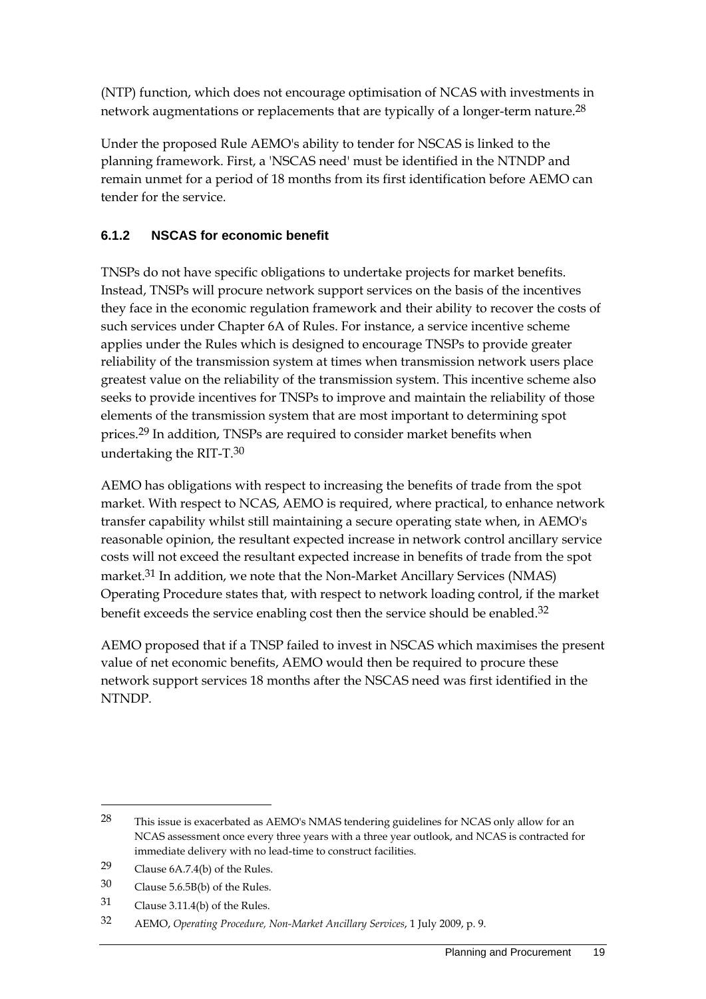(NTP) function, which does not encourage optimisation of NCAS with investments in network augmentations or replacements that are typically of a longer-term nature.<sup>28</sup>

Under the proposed Rule AEMO's ability to tender for NSCAS is linked to the planning framework. First, a 'NSCAS need' must be identified in the NTNDP and remain unmet for a period of 18 months from its first identification before AEMO can tender for the service.

#### **6.1.2 NSCAS for economic benefit**

TNSPs do not have specific obligations to undertake projects for market benefits. Instead, TNSPs will procure network support services on the basis of the incentives they face in the economic regulation framework and their ability to recover the costs of such services under Chapter 6A of Rules. For instance, a service incentive scheme applies under the Rules which is designed to encourage TNSPs to provide greater reliability of the transmission system at times when transmission network users place greatest value on the reliability of the transmission system. This incentive scheme also seeks to provide incentives for TNSPs to improve and maintain the reliability of those elements of the transmission system that are most important to determining spot prices.<sup>29</sup> In addition, TNSPs are required to consider market benefits when undertaking the RIT-T.30

AEMO has obligations with respect to increasing the benefits of trade from the spot market. With respect to NCAS, AEMO is required, where practical, to enhance network transfer capability whilst still maintaining a secure operating state when, in AEMO's reasonable opinion, the resultant expected increase in network control ancillary service costs will not exceed the resultant expected increase in benefits of trade from the spot market.<sup>31</sup> In addition, we note that the Non-Market Ancillary Services (NMAS) Operating Procedure states that, with respect to network loading control, if the market benefit exceeds the service enabling cost then the service should be enabled.<sup>32</sup>

AEMO proposed that if a TNSP failed to invest in NSCAS which maximises the present value of net economic benefits, AEMO would then be required to procure these network support services 18 months after the NSCAS need was first identified in the NTNDP.

<sup>28</sup> This issue is exacerbated as AEMO's NMAS tendering guidelines for NCAS only allow for an NCAS assessment once every three years with a three year outlook, and NCAS is contracted for immediate delivery with no lead-time to construct facilities.

<sup>29</sup> Clause 6A.7.4(b) of the Rules.

<sup>30</sup> Clause 5.6.5B(b) of the Rules.

<sup>31</sup> Clause 3.11.4(b) of the Rules.

<sup>32</sup> AEMO, *Operating Procedure, Non-Market Ancillary Services*, 1 July 2009, p. 9.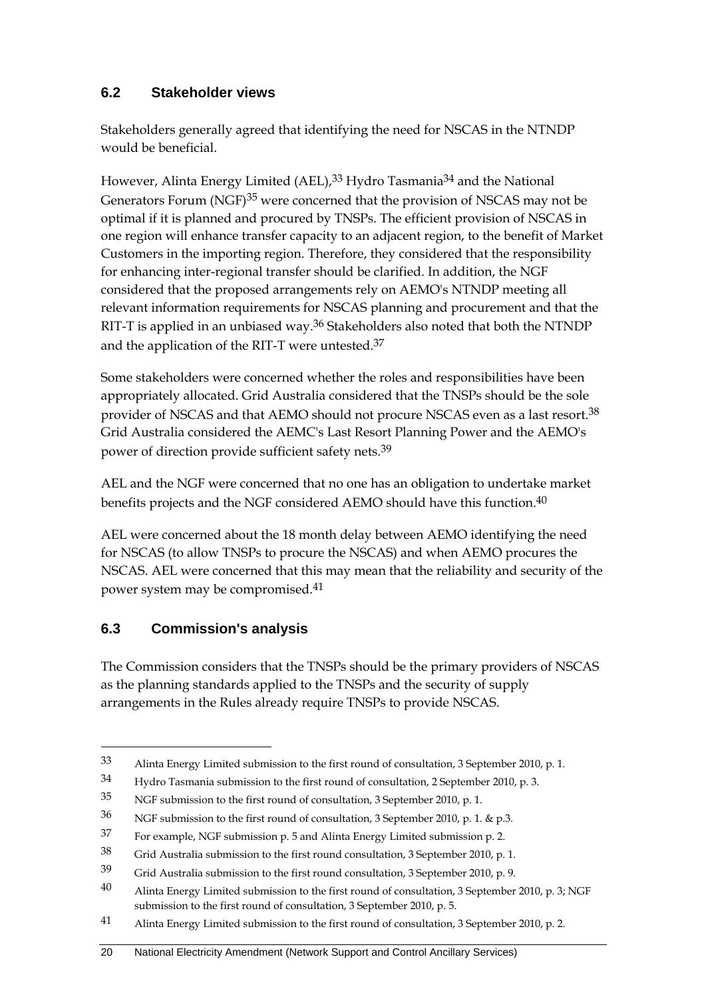#### **6.2 Stakeholder views**

Stakeholders generally agreed that identifying the need for NSCAS in the NTNDP would be beneficial.

However, Alinta Energy Limited (AEL),<sup>33</sup> Hydro Tasmania<sup>34</sup> and the National Generators Forum (NGF)<sup>35</sup> were concerned that the provision of NSCAS may not be optimal if it is planned and procured by TNSPs. The efficient provision of NSCAS in one region will enhance transfer capacity to an adjacent region, to the benefit of Market Customers in the importing region. Therefore, they considered that the responsibility for enhancing inter-regional transfer should be clarified. In addition, the NGF considered that the proposed arrangements rely on AEMO's NTNDP meeting all relevant information requirements for NSCAS planning and procurement and that the RIT-T is applied in an unbiased way.36 Stakeholders also noted that both the NTNDP and the application of the RIT-T were untested.37

Some stakeholders were concerned whether the roles and responsibilities have been appropriately allocated. Grid Australia considered that the TNSPs should be the sole provider of NSCAS and that AEMO should not procure NSCAS even as a last resort.38 Grid Australia considered the AEMC's Last Resort Planning Power and the AEMO's power of direction provide sufficient safety nets.39

AEL and the NGF were concerned that no one has an obligation to undertake market benefits projects and the NGF considered AEMO should have this function.<sup>40</sup>

AEL were concerned about the 18 month delay between AEMO identifying the need for NSCAS (to allow TNSPs to procure the NSCAS) and when AEMO procures the NSCAS. AEL were concerned that this may mean that the reliability and security of the power system may be compromised.41

#### **6.3 Commission's analysis**

1

The Commission considers that the TNSPs should be the primary providers of NSCAS as the planning standards applied to the TNSPs and the security of supply arrangements in the Rules already require TNSPs to provide NSCAS.

<sup>33</sup> Alinta Energy Limited submission to the first round of consultation, 3 September 2010, p. 1.

<sup>34</sup> Hydro Tasmania submission to the first round of consultation, 2 September 2010, p. 3.

<sup>35</sup> NGF submission to the first round of consultation, 3 September 2010, p. 1.

<sup>36</sup> NGF submission to the first round of consultation, 3 September 2010, p. 1. & p.3.

<sup>37</sup> For example, NGF submission p. 5 and Alinta Energy Limited submission p. 2.

<sup>38</sup> Grid Australia submission to the first round consultation, 3 September 2010, p. 1.

<sup>39</sup> Grid Australia submission to the first round consultation, 3 September 2010, p. 9.

<sup>40</sup> Alinta Energy Limited submission to the first round of consultation, 3 September 2010, p. 3; NGF submission to the first round of consultation, 3 September 2010, p. 5.

<sup>41</sup> Alinta Energy Limited submission to the first round of consultation, 3 September 2010, p. 2.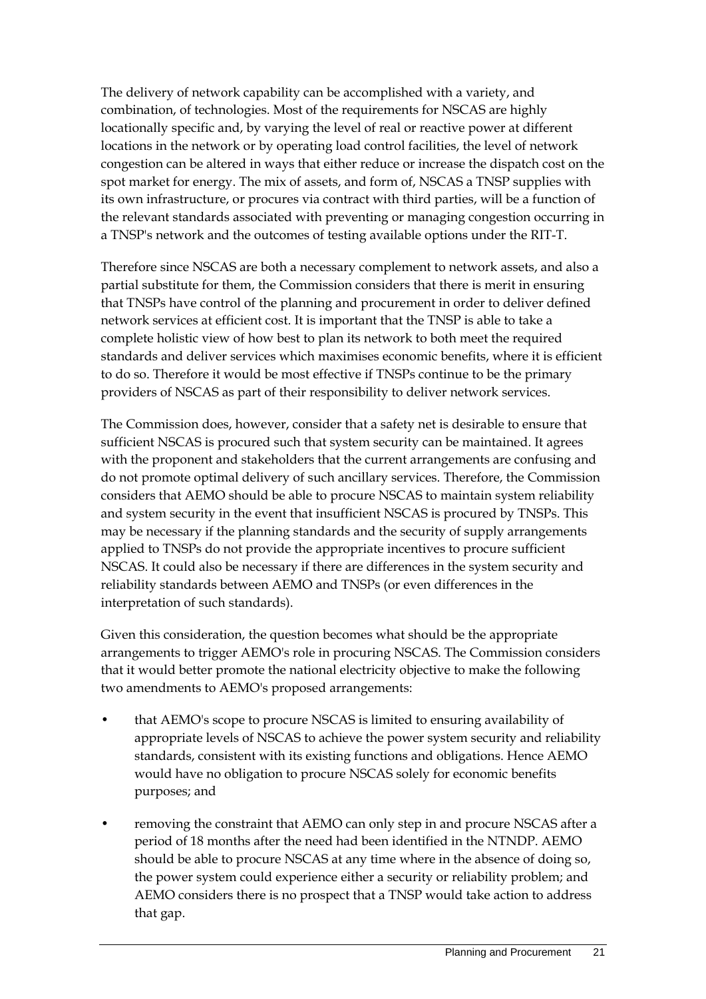The delivery of network capability can be accomplished with a variety, and combination, of technologies. Most of the requirements for NSCAS are highly locationally specific and, by varying the level of real or reactive power at different locations in the network or by operating load control facilities, the level of network congestion can be altered in ways that either reduce or increase the dispatch cost on the spot market for energy. The mix of assets, and form of, NSCAS a TNSP supplies with its own infrastructure, or procures via contract with third parties, will be a function of the relevant standards associated with preventing or managing congestion occurring in a TNSP's network and the outcomes of testing available options under the RIT-T.

Therefore since NSCAS are both a necessary complement to network assets, and also a partial substitute for them, the Commission considers that there is merit in ensuring that TNSPs have control of the planning and procurement in order to deliver defined network services at efficient cost. It is important that the TNSP is able to take a complete holistic view of how best to plan its network to both meet the required standards and deliver services which maximises economic benefits, where it is efficient to do so. Therefore it would be most effective if TNSPs continue to be the primary providers of NSCAS as part of their responsibility to deliver network services.

The Commission does, however, consider that a safety net is desirable to ensure that sufficient NSCAS is procured such that system security can be maintained. It agrees with the proponent and stakeholders that the current arrangements are confusing and do not promote optimal delivery of such ancillary services. Therefore, the Commission considers that AEMO should be able to procure NSCAS to maintain system reliability and system security in the event that insufficient NSCAS is procured by TNSPs. This may be necessary if the planning standards and the security of supply arrangements applied to TNSPs do not provide the appropriate incentives to procure sufficient NSCAS. It could also be necessary if there are differences in the system security and reliability standards between AEMO and TNSPs (or even differences in the interpretation of such standards).

Given this consideration, the question becomes what should be the appropriate arrangements to trigger AEMO's role in procuring NSCAS. The Commission considers that it would better promote the national electricity objective to make the following two amendments to AEMO's proposed arrangements:

- that AEMO's scope to procure NSCAS is limited to ensuring availability of appropriate levels of NSCAS to achieve the power system security and reliability standards, consistent with its existing functions and obligations. Hence AEMO would have no obligation to procure NSCAS solely for economic benefits purposes; and
- removing the constraint that AEMO can only step in and procure NSCAS after a period of 18 months after the need had been identified in the NTNDP. AEMO should be able to procure NSCAS at any time where in the absence of doing so, the power system could experience either a security or reliability problem; and AEMO considers there is no prospect that a TNSP would take action to address that gap.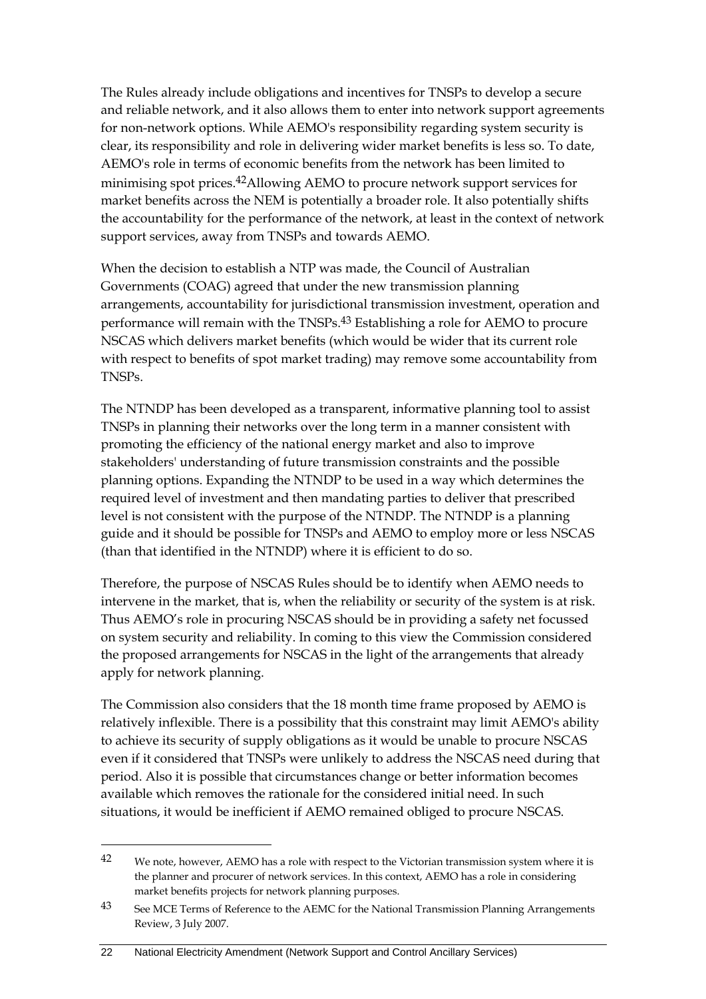The Rules already include obligations and incentives for TNSPs to develop a secure and reliable network, and it also allows them to enter into network support agreements for non-network options. While AEMO's responsibility regarding system security is clear, its responsibility and role in delivering wider market benefits is less so. To date, AEMO's role in terms of economic benefits from the network has been limited to minimising spot prices.<sup>42</sup>Allowing AEMO to procure network support services for market benefits across the NEM is potentially a broader role. It also potentially shifts the accountability for the performance of the network, at least in the context of network support services, away from TNSPs and towards AEMO.

When the decision to establish a NTP was made, the Council of Australian Governments (COAG) agreed that under the new transmission planning arrangements, accountability for jurisdictional transmission investment, operation and performance will remain with the TNSPs.43 Establishing a role for AEMO to procure NSCAS which delivers market benefits (which would be wider that its current role with respect to benefits of spot market trading) may remove some accountability from TNSPs.

The NTNDP has been developed as a transparent, informative planning tool to assist TNSPs in planning their networks over the long term in a manner consistent with promoting the efficiency of the national energy market and also to improve stakeholders' understanding of future transmission constraints and the possible planning options. Expanding the NTNDP to be used in a way which determines the required level of investment and then mandating parties to deliver that prescribed level is not consistent with the purpose of the NTNDP. The NTNDP is a planning guide and it should be possible for TNSPs and AEMO to employ more or less NSCAS (than that identified in the NTNDP) where it is efficient to do so.

Therefore, the purpose of NSCAS Rules should be to identify when AEMO needs to intervene in the market, that is, when the reliability or security of the system is at risk. Thus AEMO's role in procuring NSCAS should be in providing a safety net focussed on system security and reliability. In coming to this view the Commission considered the proposed arrangements for NSCAS in the light of the arrangements that already apply for network planning.

The Commission also considers that the 18 month time frame proposed by AEMO is relatively inflexible. There is a possibility that this constraint may limit AEMO's ability to achieve its security of supply obligations as it would be unable to procure NSCAS even if it considered that TNSPs were unlikely to address the NSCAS need during that period. Also it is possible that circumstances change or better information becomes available which removes the rationale for the considered initial need. In such situations, it would be inefficient if AEMO remained obliged to procure NSCAS.

<sup>&</sup>lt;sup>42</sup> We note, however, AEMO has a role with respect to the Victorian transmission system where it is the planner and procurer of network services. In this context, AEMO has a role in considering market benefits projects for network planning purposes.

<sup>43</sup> See MCE Terms of Reference to the AEMC for the National Transmission Planning Arrangements Review, 3 July 2007.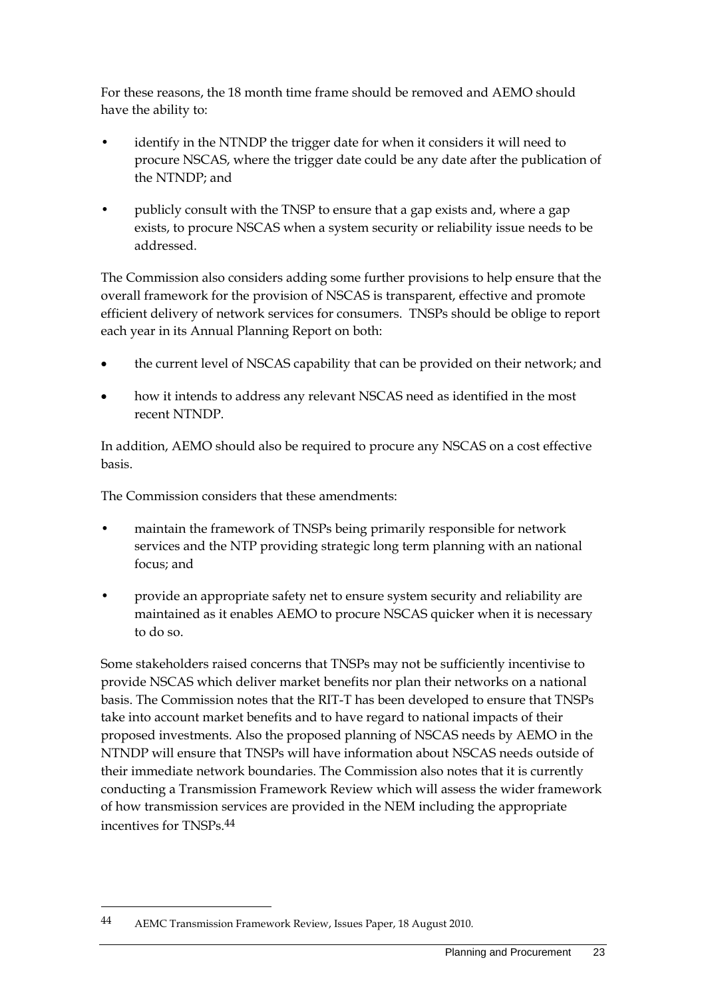For these reasons, the 18 month time frame should be removed and AEMO should have the ability to:

- identify in the NTNDP the trigger date for when it considers it will need to procure NSCAS, where the trigger date could be any date after the publication of the NTNDP; and
- publicly consult with the TNSP to ensure that a gap exists and, where a gap exists, to procure NSCAS when a system security or reliability issue needs to be addressed.

The Commission also considers adding some further provisions to help ensure that the overall framework for the provision of NSCAS is transparent, effective and promote efficient delivery of network services for consumers. TNSPs should be oblige to report each year in its Annual Planning Report on both:

- the current level of NSCAS capability that can be provided on their network; and
- how it intends to address any relevant NSCAS need as identified in the most recent NTNDP.

In addition, AEMO should also be required to procure any NSCAS on a cost effective basis.

The Commission considers that these amendments:

- maintain the framework of TNSPs being primarily responsible for network services and the NTP providing strategic long term planning with an national focus; and
- provide an appropriate safety net to ensure system security and reliability are maintained as it enables AEMO to procure NSCAS quicker when it is necessary to do so.

Some stakeholders raised concerns that TNSPs may not be sufficiently incentivise to provide NSCAS which deliver market benefits nor plan their networks on a national basis. The Commission notes that the RIT-T has been developed to ensure that TNSPs take into account market benefits and to have regard to national impacts of their proposed investments. Also the proposed planning of NSCAS needs by AEMO in the NTNDP will ensure that TNSPs will have information about NSCAS needs outside of their immediate network boundaries. The Commission also notes that it is currently conducting a Transmission Framework Review which will assess the wider framework of how transmission services are provided in the NEM including the appropriate incentives for TNSPs.44

<sup>44</sup> AEMC Transmission Framework Review, Issues Paper, 18 August 2010.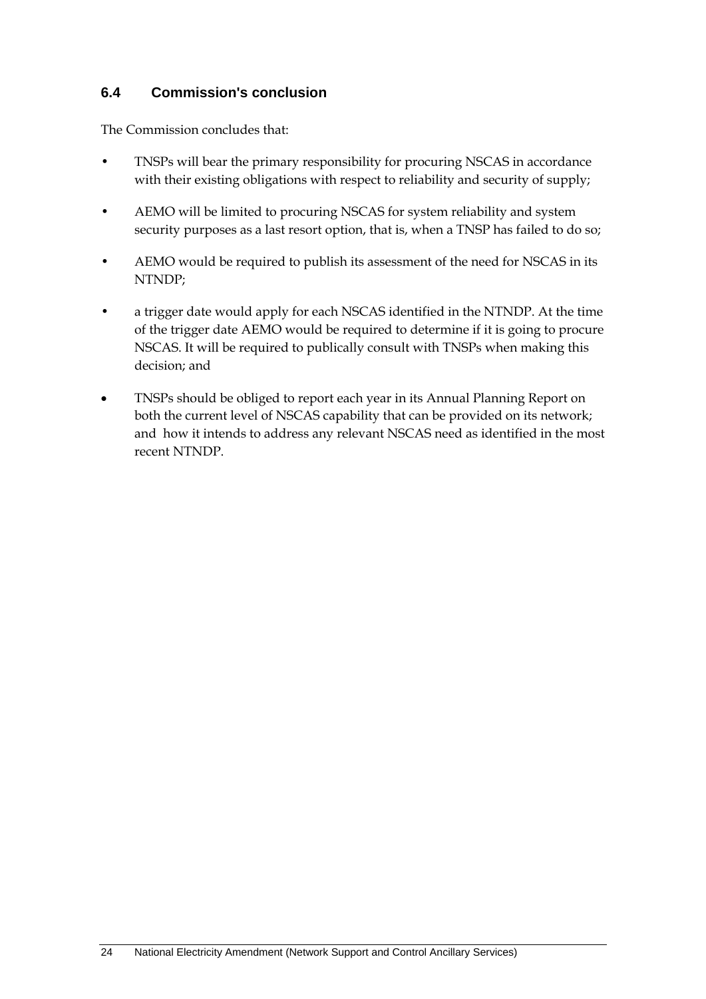#### **6.4 Commission's conclusion**

The Commission concludes that:

- TNSPs will bear the primary responsibility for procuring NSCAS in accordance with their existing obligations with respect to reliability and security of supply;
- AEMO will be limited to procuring NSCAS for system reliability and system security purposes as a last resort option, that is, when a TNSP has failed to do so;
- AEMO would be required to publish its assessment of the need for NSCAS in its NTNDP;
- a trigger date would apply for each NSCAS identified in the NTNDP. At the time of the trigger date AEMO would be required to determine if it is going to procure NSCAS. It will be required to publically consult with TNSPs when making this decision; and
- TNSPs should be obliged to report each year in its Annual Planning Report on both the current level of NSCAS capability that can be provided on its network; and how it intends to address any relevant NSCAS need as identified in the most recent NTNDP.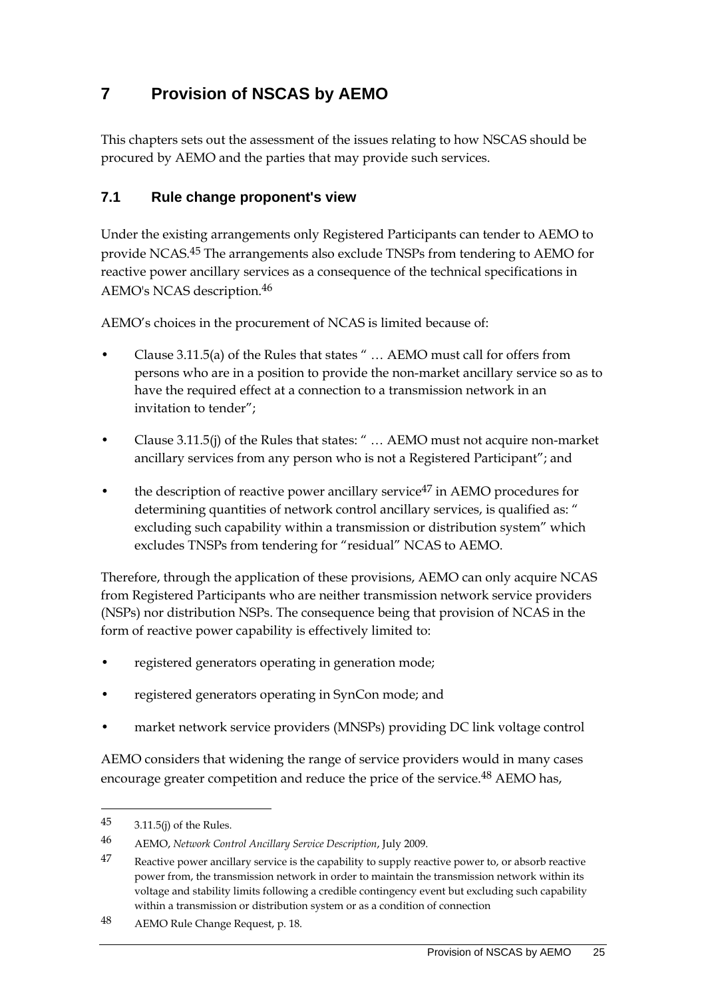## **7 Provision of NSCAS by AEMO**

This chapters sets out the assessment of the issues relating to how NSCAS should be procured by AEMO and the parties that may provide such services.

#### **7.1 Rule change proponent's view**

Under the existing arrangements only Registered Participants can tender to AEMO to provide NCAS.45 The arrangements also exclude TNSPs from tendering to AEMO for reactive power ancillary services as a consequence of the technical specifications in AEMO's NCAS description.46

AEMO's choices in the procurement of NCAS is limited because of:

- Clause 3.11.5(a) of the Rules that states " … AEMO must call for offers from persons who are in a position to provide the non-market ancillary service so as to have the required effect at a connection to a transmission network in an invitation to tender";
- Clause 3.11.5(j) of the Rules that states: " … AEMO must not acquire non-market ancillary services from any person who is not a Registered Participant"; and
- the description of reactive power ancillary service<sup>47</sup> in AEMO procedures for determining quantities of network control ancillary services, is qualified as: " excluding such capability within a transmission or distribution system" which excludes TNSPs from tendering for "residual" NCAS to AEMO.

Therefore, through the application of these provisions, AEMO can only acquire NCAS from Registered Participants who are neither transmission network service providers (NSPs) nor distribution NSPs. The consequence being that provision of NCAS in the form of reactive power capability is effectively limited to:

- registered generators operating in generation mode;
- registered generators operating in SynCon mode; and
- market network service providers (MNSPs) providing DC link voltage control

AEMO considers that widening the range of service providers would in many cases encourage greater competition and reduce the price of the service.<sup>48</sup> AEMO has,

<sup>45 3.11.5(</sup>j) of the Rules.

<sup>46</sup> AEMO, *Network Control Ancillary Service Description*, July 2009.

<sup>47</sup> Reactive power ancillary service is the capability to supply reactive power to, or absorb reactive power from, the transmission network in order to maintain the transmission network within its voltage and stability limits following a credible contingency event but excluding such capability within a transmission or distribution system or as a condition of connection

<sup>48</sup> AEMO Rule Change Request, p. 18.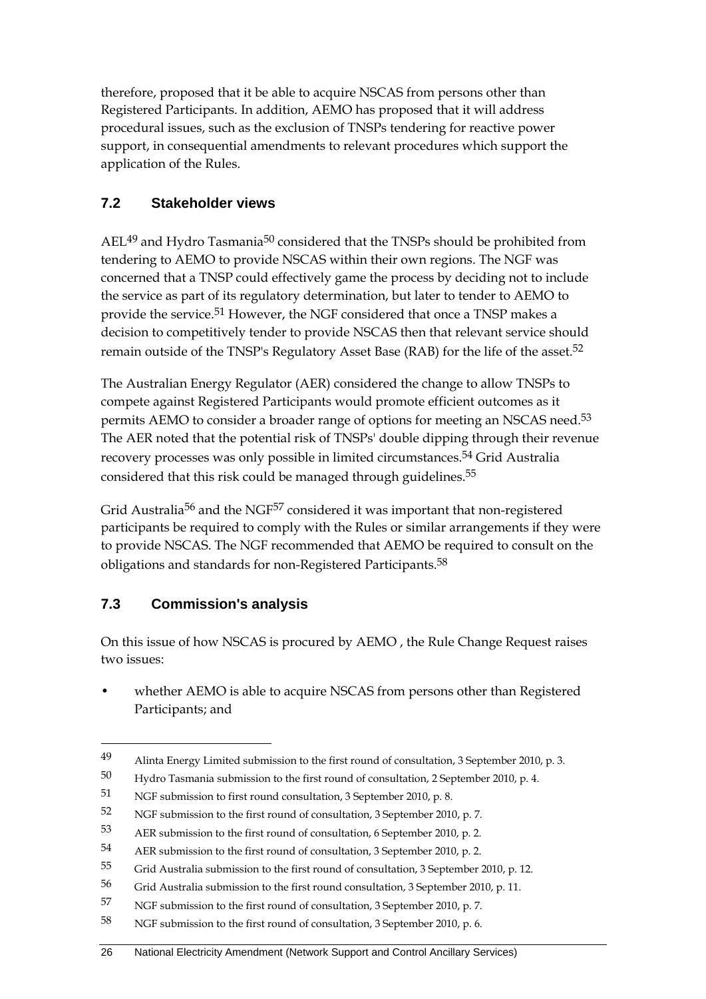therefore, proposed that it be able to acquire NSCAS from persons other than Registered Participants. In addition, AEMO has proposed that it will address procedural issues, such as the exclusion of TNSPs tendering for reactive power support, in consequential amendments to relevant procedures which support the application of the Rules.

#### **7.2 Stakeholder views**

AEL<sup>49</sup> and Hydro Tasmania<sup>50</sup> considered that the TNSPs should be prohibited from tendering to AEMO to provide NSCAS within their own regions. The NGF was concerned that a TNSP could effectively game the process by deciding not to include the service as part of its regulatory determination, but later to tender to AEMO to provide the service.51 However, the NGF considered that once a TNSP makes a decision to competitively tender to provide NSCAS then that relevant service should remain outside of the TNSP's Regulatory Asset Base (RAB) for the life of the asset.52

The Australian Energy Regulator (AER) considered the change to allow TNSPs to compete against Registered Participants would promote efficient outcomes as it permits AEMO to consider a broader range of options for meeting an NSCAS need.<sup>53</sup> The AER noted that the potential risk of TNSPs' double dipping through their revenue recovery processes was only possible in limited circumstances.54 Grid Australia considered that this risk could be managed through guidelines.55

Grid Australia<sup>56</sup> and the NGF<sup>57</sup> considered it was important that non-registered participants be required to comply with the Rules or similar arrangements if they were to provide NSCAS. The NGF recommended that AEMO be required to consult on the obligations and standards for non-Registered Participants.<sup>58</sup>

#### **7.3 Commission's analysis**

1

On this issue of how NSCAS is procured by AEMO , the Rule Change Request raises two issues:

whether AEMO is able to acquire NSCAS from persons other than Registered Participants; and

<sup>49</sup> Alinta Energy Limited submission to the first round of consultation, 3 September 2010, p. 3.

<sup>50</sup> Hydro Tasmania submission to the first round of consultation, 2 September 2010, p. 4.

<sup>51</sup> NGF submission to first round consultation, 3 September 2010, p. 8.

<sup>52</sup> NGF submission to the first round of consultation, 3 September 2010, p. 7.

<sup>53</sup> AER submission to the first round of consultation, 6 September 2010, p. 2.

<sup>54</sup> AER submission to the first round of consultation, 3 September 2010, p. 2.

<sup>55</sup> Grid Australia submission to the first round of consultation, 3 September 2010, p. 12.

<sup>56</sup> Grid Australia submission to the first round consultation, 3 September 2010, p. 11.

<sup>57</sup> NGF submission to the first round of consultation, 3 September 2010, p. 7.

<sup>58</sup> NGF submission to the first round of consultation, 3 September 2010, p. 6.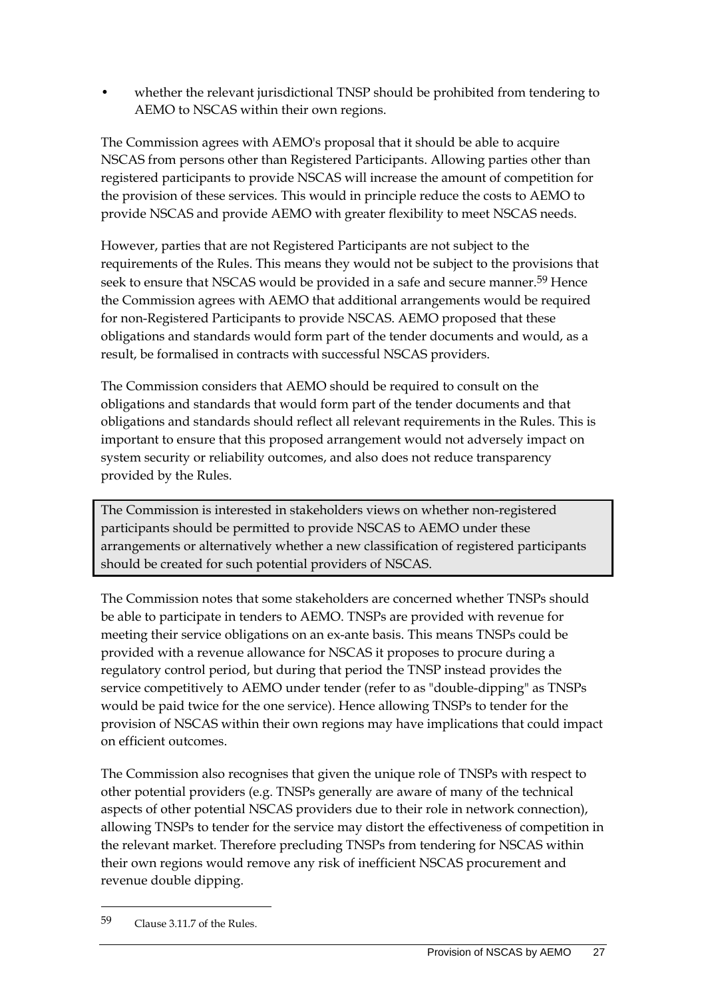• whether the relevant jurisdictional TNSP should be prohibited from tendering to AEMO to NSCAS within their own regions.

The Commission agrees with AEMO's proposal that it should be able to acquire NSCAS from persons other than Registered Participants. Allowing parties other than registered participants to provide NSCAS will increase the amount of competition for the provision of these services. This would in principle reduce the costs to AEMO to provide NSCAS and provide AEMO with greater flexibility to meet NSCAS needs.

However, parties that are not Registered Participants are not subject to the requirements of the Rules. This means they would not be subject to the provisions that seek to ensure that NSCAS would be provided in a safe and secure manner.<sup>59</sup> Hence the Commission agrees with AEMO that additional arrangements would be required for non-Registered Participants to provide NSCAS. AEMO proposed that these obligations and standards would form part of the tender documents and would, as a result, be formalised in contracts with successful NSCAS providers.

The Commission considers that AEMO should be required to consult on the obligations and standards that would form part of the tender documents and that obligations and standards should reflect all relevant requirements in the Rules. This is important to ensure that this proposed arrangement would not adversely impact on system security or reliability outcomes, and also does not reduce transparency provided by the Rules.

The Commission is interested in stakeholders views on whether non-registered participants should be permitted to provide NSCAS to AEMO under these arrangements or alternatively whether a new classification of registered participants should be created for such potential providers of NSCAS.

The Commission notes that some stakeholders are concerned whether TNSPs should be able to participate in tenders to AEMO. TNSPs are provided with revenue for meeting their service obligations on an ex-ante basis. This means TNSPs could be provided with a revenue allowance for NSCAS it proposes to procure during a regulatory control period, but during that period the TNSP instead provides the service competitively to AEMO under tender (refer to as "double-dipping" as TNSPs would be paid twice for the one service). Hence allowing TNSPs to tender for the provision of NSCAS within their own regions may have implications that could impact on efficient outcomes.

The Commission also recognises that given the unique role of TNSPs with respect to other potential providers (e.g. TNSPs generally are aware of many of the technical aspects of other potential NSCAS providers due to their role in network connection), allowing TNSPs to tender for the service may distort the effectiveness of competition in the relevant market. Therefore precluding TNSPs from tendering for NSCAS within their own regions would remove any risk of inefficient NSCAS procurement and revenue double dipping.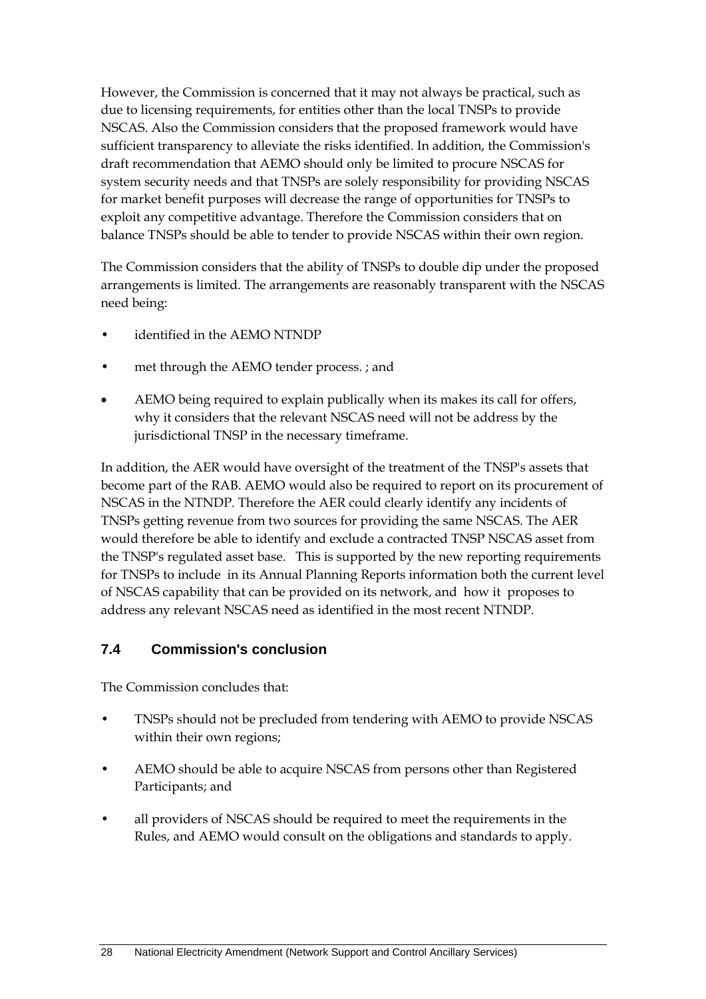However, the Commission is concerned that it may not always be practical, such as due to licensing requirements, for entities other than the local TNSPs to provide NSCAS. Also the Commission considers that the proposed framework would have sufficient transparency to alleviate the risks identified. In addition, the Commission's draft recommendation that AEMO should only be limited to procure NSCAS for system security needs and that TNSPs are solely responsibility for providing NSCAS for market benefit purposes will decrease the range of opportunities for TNSPs to exploit any competitive advantage. Therefore the Commission considers that on balance TNSPs should be able to tender to provide NSCAS within their own region.

The Commission considers that the ability of TNSPs to double dip under the proposed arrangements is limited. The arrangements are reasonably transparent with the NSCAS need being:

- identified in the AEMO NTNDP
- met through the AEMO tender process. ; and
- AEMO being required to explain publically when its makes its call for offers, why it considers that the relevant NSCAS need will not be address by the jurisdictional TNSP in the necessary timeframe.

In addition, the AER would have oversight of the treatment of the TNSP's assets that become part of the RAB. AEMO would also be required to report on its procurement of NSCAS in the NTNDP. Therefore the AER could clearly identify any incidents of TNSPs getting revenue from two sources for providing the same NSCAS. The AER would therefore be able to identify and exclude a contracted TNSP NSCAS asset from the TNSP's regulated asset base. This is supported by the new reporting requirements for TNSPs to include in its Annual Planning Reports information both the current level of NSCAS capability that can be provided on its network, and how it proposes to address any relevant NSCAS need as identified in the most recent NTNDP.

#### **7.4 Commission's conclusion**

The Commission concludes that:

- TNSPs should not be precluded from tendering with AEMO to provide NSCAS within their own regions;
- AEMO should be able to acquire NSCAS from persons other than Registered Participants; and
- all providers of NSCAS should be required to meet the requirements in the Rules, and AEMO would consult on the obligations and standards to apply.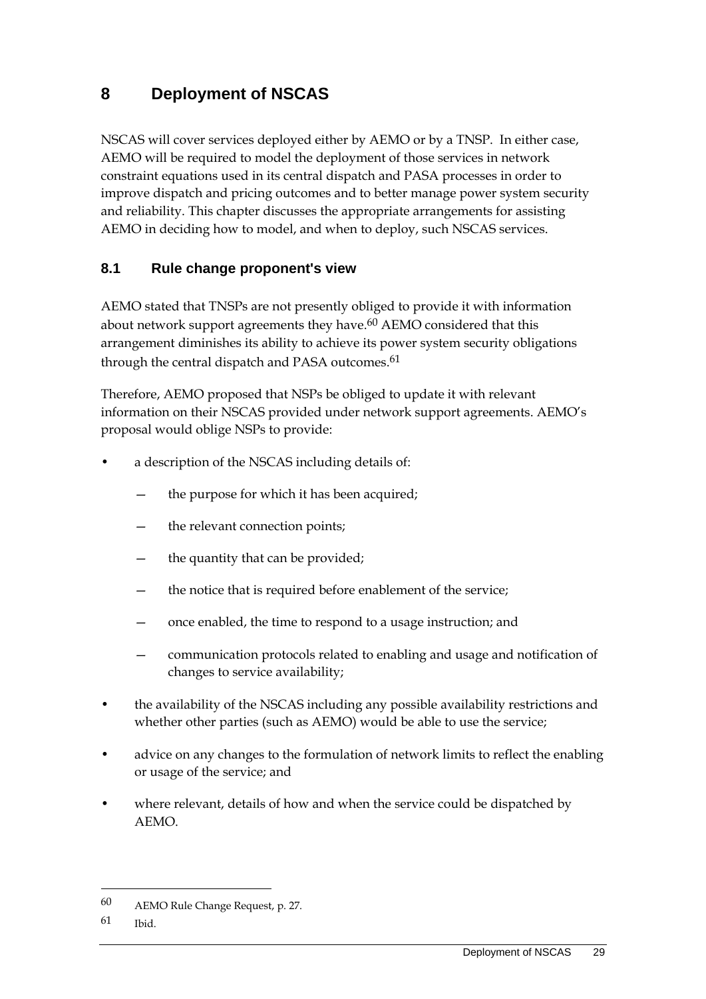## **8 Deployment of NSCAS**

NSCAS will cover services deployed either by AEMO or by a TNSP. In either case, AEMO will be required to model the deployment of those services in network constraint equations used in its central dispatch and PASA processes in order to improve dispatch and pricing outcomes and to better manage power system security and reliability. This chapter discusses the appropriate arrangements for assisting AEMO in deciding how to model, and when to deploy, such NSCAS services.

#### **8.1 Rule change proponent's view**

AEMO stated that TNSPs are not presently obliged to provide it with information about network support agreements they have.<sup>60</sup> AEMO considered that this arrangement diminishes its ability to achieve its power system security obligations through the central dispatch and PASA outcomes.<sup>61</sup>

Therefore, AEMO proposed that NSPs be obliged to update it with relevant information on their NSCAS provided under network support agreements. AEMO's proposal would oblige NSPs to provide:

- a description of the NSCAS including details of:
	- the purpose for which it has been acquired;
	- the relevant connection points;
	- the quantity that can be provided;
	- the notice that is required before enablement of the service;
	- once enabled, the time to respond to a usage instruction; and
	- communication protocols related to enabling and usage and notification of changes to service availability;
- the availability of the NSCAS including any possible availability restrictions and whether other parties (such as AEMO) would be able to use the service;
- advice on any changes to the formulation of network limits to reflect the enabling or usage of the service; and
- where relevant, details of how and when the service could be dispatched by AEMO.

<sup>60</sup> AEMO Rule Change Request, p. 27.

<sup>61</sup> Ibid.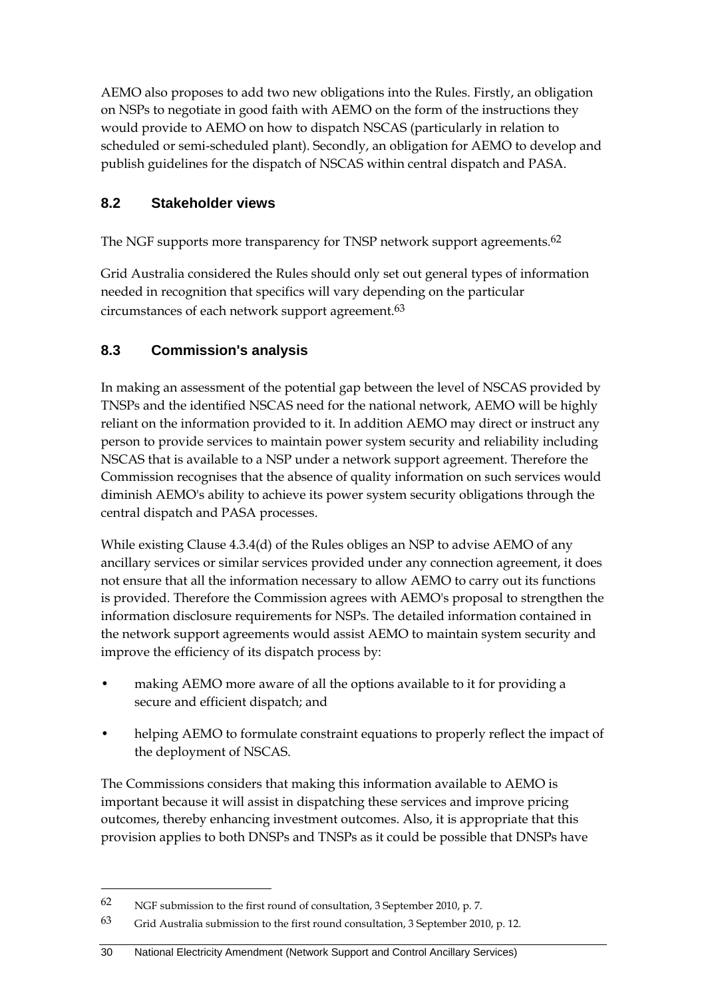AEMO also proposes to add two new obligations into the Rules. Firstly, an obligation on NSPs to negotiate in good faith with AEMO on the form of the instructions they would provide to AEMO on how to dispatch NSCAS (particularly in relation to scheduled or semi-scheduled plant). Secondly, an obligation for AEMO to develop and publish guidelines for the dispatch of NSCAS within central dispatch and PASA.

#### **8.2 Stakeholder views**

The NGF supports more transparency for TNSP network support agreements.<sup>62</sup>

Grid Australia considered the Rules should only set out general types of information needed in recognition that specifics will vary depending on the particular circumstances of each network support agreement.63

#### **8.3 Commission's analysis**

In making an assessment of the potential gap between the level of NSCAS provided by TNSPs and the identified NSCAS need for the national network, AEMO will be highly reliant on the information provided to it. In addition AEMO may direct or instruct any person to provide services to maintain power system security and reliability including NSCAS that is available to a NSP under a network support agreement. Therefore the Commission recognises that the absence of quality information on such services would diminish AEMO's ability to achieve its power system security obligations through the central dispatch and PASA processes.

While existing Clause 4.3.4(d) of the Rules obliges an NSP to advise AEMO of any ancillary services or similar services provided under any connection agreement, it does not ensure that all the information necessary to allow AEMO to carry out its functions is provided. Therefore the Commission agrees with AEMO's proposal to strengthen the information disclosure requirements for NSPs. The detailed information contained in the network support agreements would assist AEMO to maintain system security and improve the efficiency of its dispatch process by:

- making AEMO more aware of all the options available to it for providing a secure and efficient dispatch; and
- helping AEMO to formulate constraint equations to properly reflect the impact of the deployment of NSCAS.

The Commissions considers that making this information available to AEMO is important because it will assist in dispatching these services and improve pricing outcomes, thereby enhancing investment outcomes. Also, it is appropriate that this provision applies to both DNSPs and TNSPs as it could be possible that DNSPs have

<sup>62</sup> NGF submission to the first round of consultation, 3 September 2010, p. 7.

<sup>63</sup> Grid Australia submission to the first round consultation, 3 September 2010, p. 12.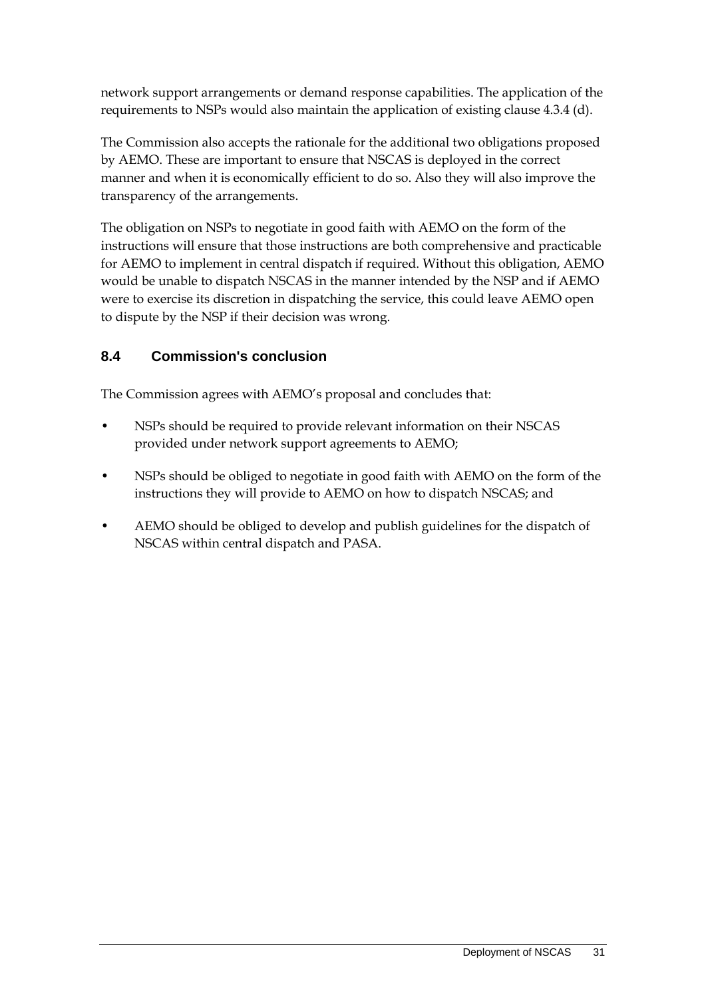network support arrangements or demand response capabilities. The application of the requirements to NSPs would also maintain the application of existing clause 4.3.4 (d).

The Commission also accepts the rationale for the additional two obligations proposed by AEMO. These are important to ensure that NSCAS is deployed in the correct manner and when it is economically efficient to do so. Also they will also improve the transparency of the arrangements.

The obligation on NSPs to negotiate in good faith with AEMO on the form of the instructions will ensure that those instructions are both comprehensive and practicable for AEMO to implement in central dispatch if required. Without this obligation, AEMO would be unable to dispatch NSCAS in the manner intended by the NSP and if AEMO were to exercise its discretion in dispatching the service, this could leave AEMO open to dispute by the NSP if their decision was wrong.

### **8.4 Commission's conclusion**

The Commission agrees with AEMO's proposal and concludes that:

- NSPs should be required to provide relevant information on their NSCAS provided under network support agreements to AEMO;
- NSPs should be obliged to negotiate in good faith with AEMO on the form of the instructions they will provide to AEMO on how to dispatch NSCAS; and
- AEMO should be obliged to develop and publish guidelines for the dispatch of NSCAS within central dispatch and PASA.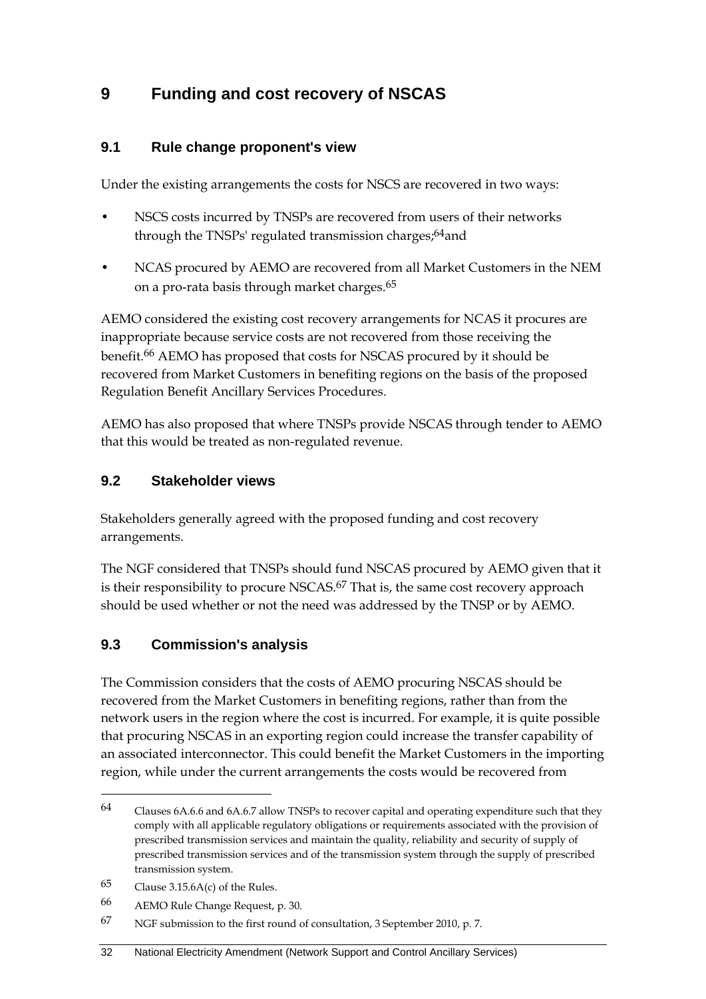### **9 Funding and cost recovery of NSCAS**

#### **9.1 Rule change proponent's view**

Under the existing arrangements the costs for NSCS are recovered in two ways:

- NSCS costs incurred by TNSPs are recovered from users of their networks through the TNSPs' regulated transmission charges;<sup>64</sup>and
- NCAS procured by AEMO are recovered from all Market Customers in the NEM on a pro-rata basis through market charges.65

AEMO considered the existing cost recovery arrangements for NCAS it procures are inappropriate because service costs are not recovered from those receiving the benefit.66 AEMO has proposed that costs for NSCAS procured by it should be recovered from Market Customers in benefiting regions on the basis of the proposed Regulation Benefit Ancillary Services Procedures.

AEMO has also proposed that where TNSPs provide NSCAS through tender to AEMO that this would be treated as non-regulated revenue.

#### **9.2 Stakeholder views**

Stakeholders generally agreed with the proposed funding and cost recovery arrangements.

The NGF considered that TNSPs should fund NSCAS procured by AEMO given that it is their responsibility to procure NSCAS.<sup>67</sup> That is, the same cost recovery approach should be used whether or not the need was addressed by the TNSP or by AEMO.

#### **9.3 Commission's analysis**

The Commission considers that the costs of AEMO procuring NSCAS should be recovered from the Market Customers in benefiting regions, rather than from the network users in the region where the cost is incurred. For example, it is quite possible that procuring NSCAS in an exporting region could increase the transfer capability of an associated interconnector. This could benefit the Market Customers in the importing region, while under the current arrangements the costs would be recovered from

<u>.</u>

<sup>64</sup> Clauses 6A.6.6 and 6A.6.7 allow TNSPs to recover capital and operating expenditure such that they comply with all applicable regulatory obligations or requirements associated with the provision of prescribed transmission services and maintain the quality, reliability and security of supply of prescribed transmission services and of the transmission system through the supply of prescribed transmission system.

<sup>65</sup> Clause 3.15.6A(c) of the Rules.

<sup>66</sup> AEMO Rule Change Request, p. 30.

<sup>67</sup> NGF submission to the first round of consultation, 3 September 2010, p. 7.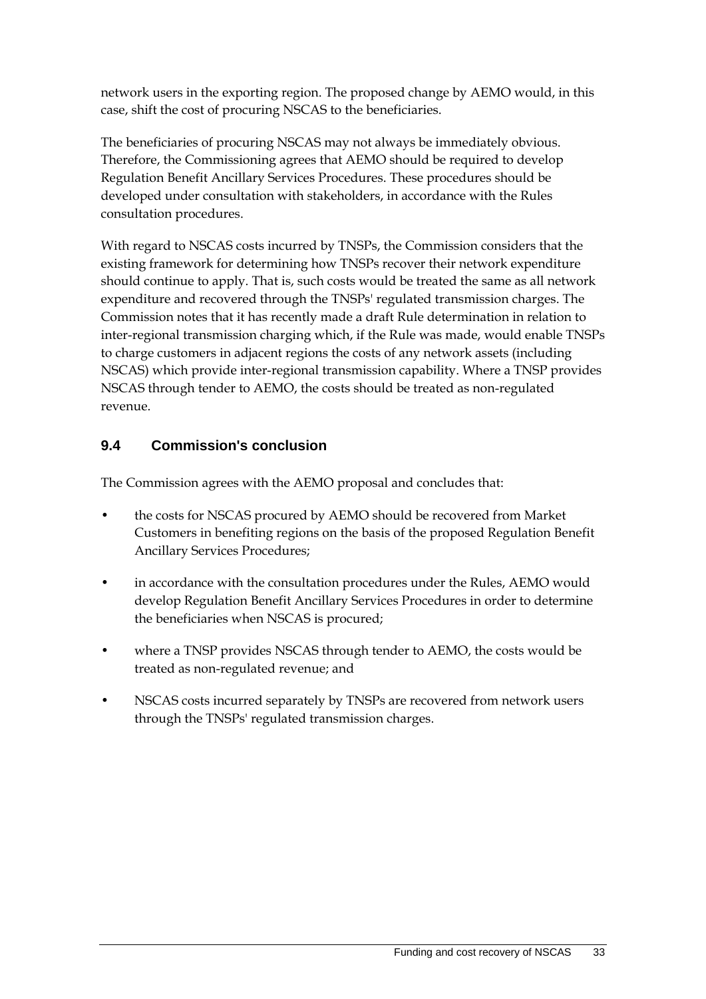network users in the exporting region. The proposed change by AEMO would, in this case, shift the cost of procuring NSCAS to the beneficiaries.

The beneficiaries of procuring NSCAS may not always be immediately obvious. Therefore, the Commissioning agrees that AEMO should be required to develop Regulation Benefit Ancillary Services Procedures. These procedures should be developed under consultation with stakeholders, in accordance with the Rules consultation procedures.

With regard to NSCAS costs incurred by TNSPs, the Commission considers that the existing framework for determining how TNSPs recover their network expenditure should continue to apply. That is, such costs would be treated the same as all network expenditure and recovered through the TNSPs' regulated transmission charges. The Commission notes that it has recently made a draft Rule determination in relation to inter-regional transmission charging which, if the Rule was made, would enable TNSPs to charge customers in adjacent regions the costs of any network assets (including NSCAS) which provide inter-regional transmission capability. Where a TNSP provides NSCAS through tender to AEMO, the costs should be treated as non-regulated revenue.

#### **9.4 Commission's conclusion**

The Commission agrees with the AEMO proposal and concludes that:

- the costs for NSCAS procured by AEMO should be recovered from Market Customers in benefiting regions on the basis of the proposed Regulation Benefit Ancillary Services Procedures;
- in accordance with the consultation procedures under the Rules, AEMO would develop Regulation Benefit Ancillary Services Procedures in order to determine the beneficiaries when NSCAS is procured;
- where a TNSP provides NSCAS through tender to AEMO, the costs would be treated as non-regulated revenue; and
- NSCAS costs incurred separately by TNSPs are recovered from network users through the TNSPs' regulated transmission charges.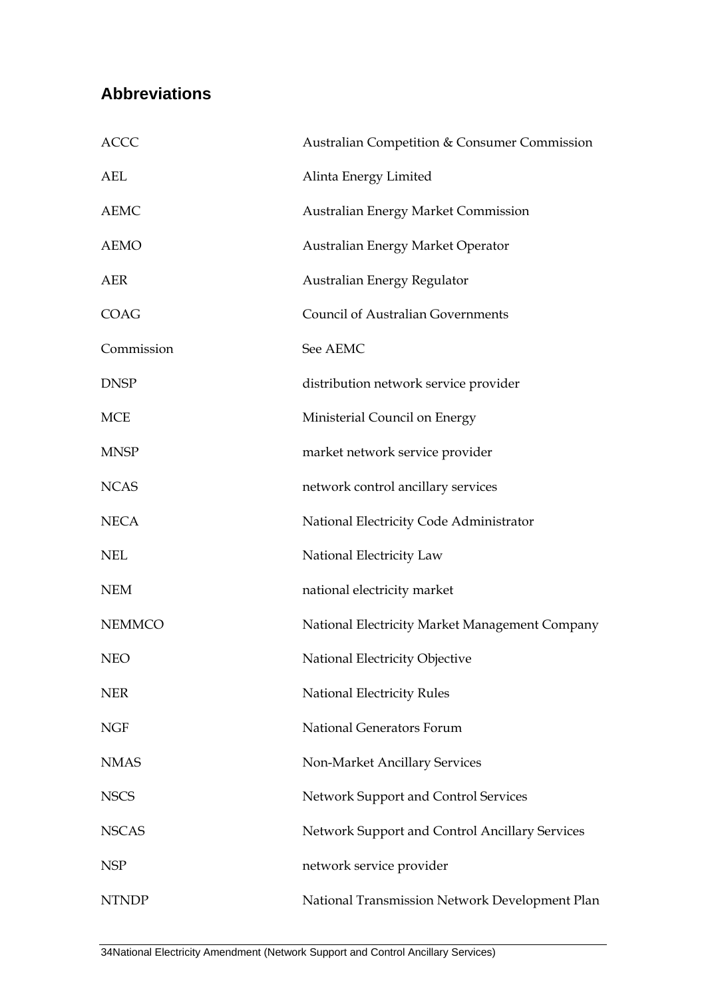## **Abbreviations**

| <b>ACCC</b>   | Australian Competition & Consumer Commission   |
|---------------|------------------------------------------------|
| AEL           | Alinta Energy Limited                          |
| <b>AEMC</b>   | <b>Australian Energy Market Commission</b>     |
| <b>AEMO</b>   | Australian Energy Market Operator              |
| AER           | Australian Energy Regulator                    |
| <b>COAG</b>   | <b>Council of Australian Governments</b>       |
| Commission    | See AEMC                                       |
| <b>DNSP</b>   | distribution network service provider          |
| <b>MCE</b>    | Ministerial Council on Energy                  |
| <b>MNSP</b>   | market network service provider                |
| <b>NCAS</b>   | network control ancillary services             |
| <b>NECA</b>   | National Electricity Code Administrator        |
| <b>NEL</b>    | National Electricity Law                       |
| <b>NEM</b>    | national electricity market                    |
| <b>NEMMCO</b> | National Electricity Market Management Company |
| <b>NEO</b>    | National Electricity Objective                 |
| <b>NER</b>    | <b>National Electricity Rules</b>              |
| <b>NGF</b>    | National Generators Forum                      |
| <b>NMAS</b>   | Non-Market Ancillary Services                  |
| <b>NSCS</b>   | Network Support and Control Services           |
| <b>NSCAS</b>  | Network Support and Control Ancillary Services |
| <b>NSP</b>    | network service provider                       |
| <b>NTNDP</b>  | National Transmission Network Development Plan |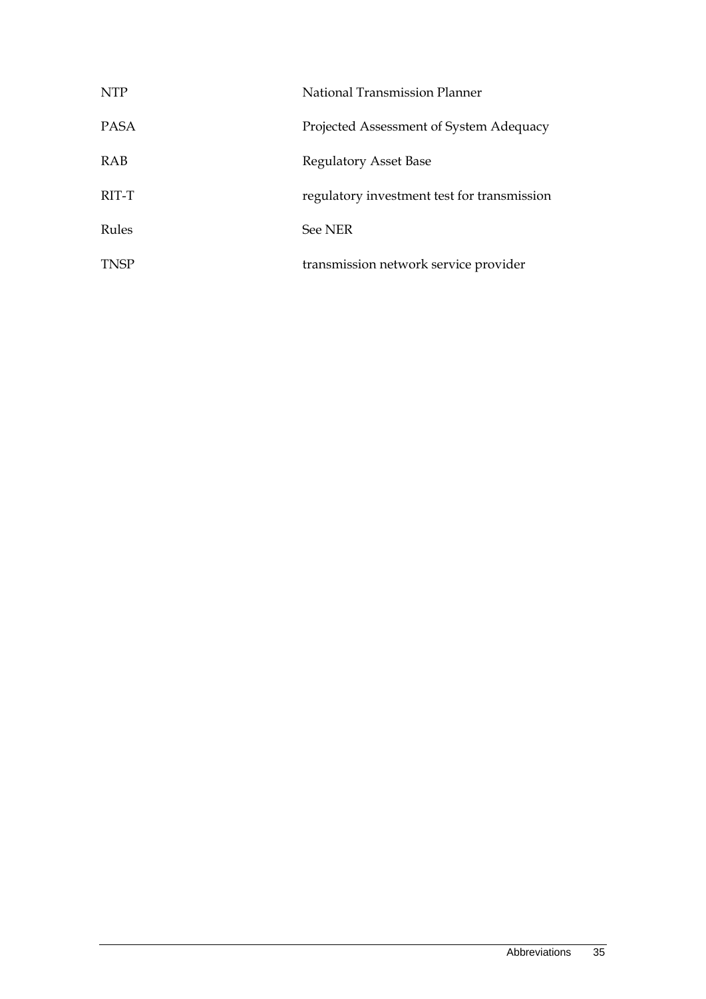| <b>NTP</b>  | National Transmission Planner               |
|-------------|---------------------------------------------|
| <b>PASA</b> | Projected Assessment of System Adequacy     |
| RAB         | Regulatory Asset Base                       |
| RIT-T       | regulatory investment test for transmission |
| Rules       | See NER                                     |
| <b>TNSP</b> | transmission network service provider       |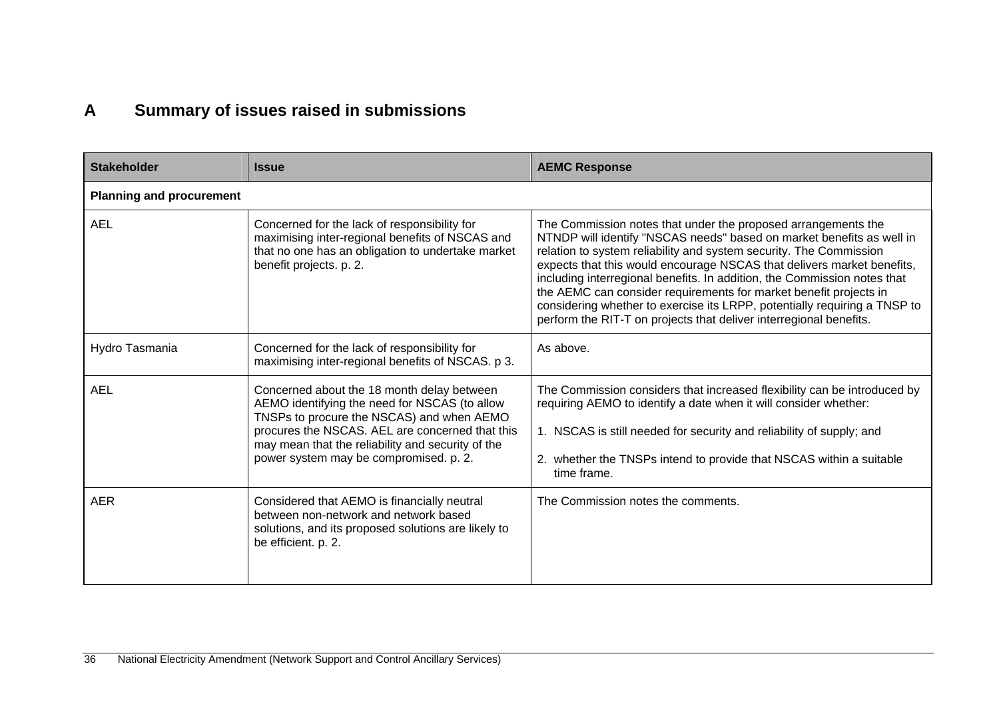## **A Summary of issues raised in submissions**

| <b>Stakeholder</b>              | <b>Issue</b>                                                                                                                                                                                                                                                                               | <b>AEMC Response</b>                                                                                                                                                                                                                                                                                                                                                                                                                                                                                                                                                                       |
|---------------------------------|--------------------------------------------------------------------------------------------------------------------------------------------------------------------------------------------------------------------------------------------------------------------------------------------|--------------------------------------------------------------------------------------------------------------------------------------------------------------------------------------------------------------------------------------------------------------------------------------------------------------------------------------------------------------------------------------------------------------------------------------------------------------------------------------------------------------------------------------------------------------------------------------------|
| <b>Planning and procurement</b> |                                                                                                                                                                                                                                                                                            |                                                                                                                                                                                                                                                                                                                                                                                                                                                                                                                                                                                            |
| <b>AEL</b>                      | Concerned for the lack of responsibility for<br>maximising inter-regional benefits of NSCAS and<br>that no one has an obligation to undertake market<br>benefit projects. p. 2.                                                                                                            | The Commission notes that under the proposed arrangements the<br>NTNDP will identify "NSCAS needs" based on market benefits as well in<br>relation to system reliability and system security. The Commission<br>expects that this would encourage NSCAS that delivers market benefits,<br>including interregional benefits. In addition, the Commission notes that<br>the AEMC can consider requirements for market benefit projects in<br>considering whether to exercise its LRPP, potentially requiring a TNSP to<br>perform the RIT-T on projects that deliver interregional benefits. |
| Hydro Tasmania                  | Concerned for the lack of responsibility for<br>maximising inter-regional benefits of NSCAS. p 3.                                                                                                                                                                                          | As above.                                                                                                                                                                                                                                                                                                                                                                                                                                                                                                                                                                                  |
| <b>AEL</b>                      | Concerned about the 18 month delay between<br>AEMO identifying the need for NSCAS (to allow<br>TNSPs to procure the NSCAS) and when AEMO<br>procures the NSCAS. AEL are concerned that this<br>may mean that the reliability and security of the<br>power system may be compromised. p. 2. | The Commission considers that increased flexibility can be introduced by<br>requiring AEMO to identify a date when it will consider whether:<br>1. NSCAS is still needed for security and reliability of supply; and<br>2. whether the TNSPs intend to provide that NSCAS within a suitable<br>time frame.                                                                                                                                                                                                                                                                                 |
| <b>AER</b>                      | Considered that AEMO is financially neutral<br>between non-network and network based<br>solutions, and its proposed solutions are likely to<br>be efficient. p. 2.                                                                                                                         | The Commission notes the comments.                                                                                                                                                                                                                                                                                                                                                                                                                                                                                                                                                         |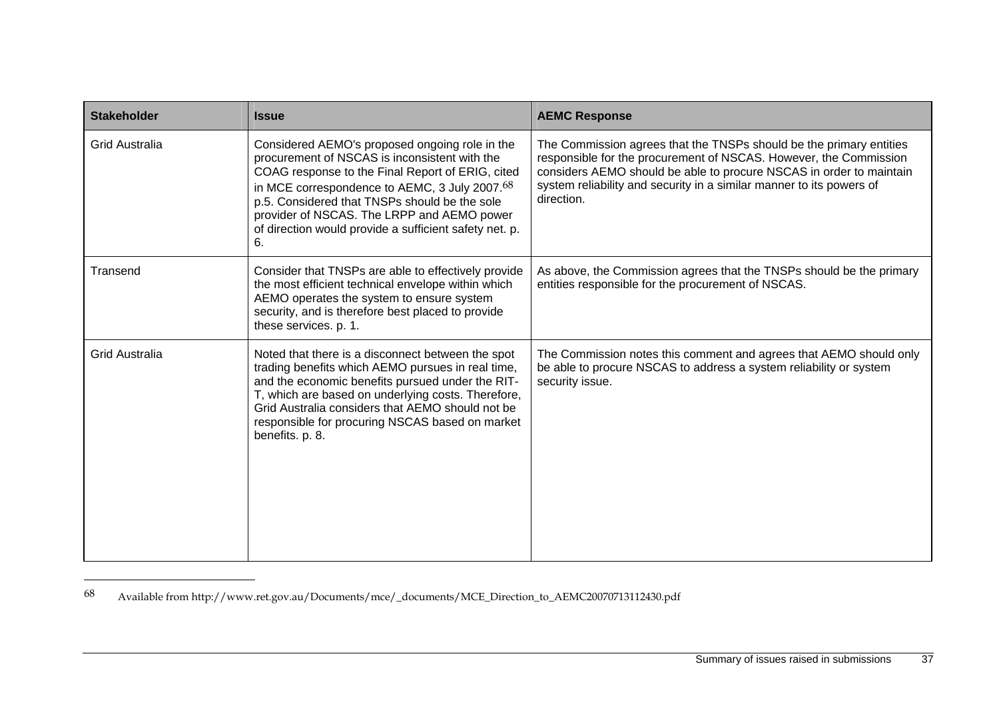| <b>Stakeholder</b>    | <b>Issue</b>                                                                                                                                                                                                                                                                                                                                                        | <b>AEMC Response</b>                                                                                                                                                                                                                                                                                  |
|-----------------------|---------------------------------------------------------------------------------------------------------------------------------------------------------------------------------------------------------------------------------------------------------------------------------------------------------------------------------------------------------------------|-------------------------------------------------------------------------------------------------------------------------------------------------------------------------------------------------------------------------------------------------------------------------------------------------------|
| <b>Grid Australia</b> | Considered AEMO's proposed ongoing role in the<br>procurement of NSCAS is inconsistent with the<br>COAG response to the Final Report of ERIG, cited<br>in MCE correspondence to AEMC, 3 July 2007.68<br>p.5. Considered that TNSPs should be the sole<br>provider of NSCAS. The LRPP and AEMO power<br>of direction would provide a sufficient safety net. p.<br>6. | The Commission agrees that the TNSPs should be the primary entities<br>responsible for the procurement of NSCAS. However, the Commission<br>considers AEMO should be able to procure NSCAS in order to maintain<br>system reliability and security in a similar manner to its powers of<br>direction. |
| Transend              | Consider that TNSPs are able to effectively provide<br>the most efficient technical envelope within which<br>AEMO operates the system to ensure system<br>security, and is therefore best placed to provide<br>these services. p. 1.                                                                                                                                | As above, the Commission agrees that the TNSPs should be the primary<br>entities responsible for the procurement of NSCAS.                                                                                                                                                                            |
| <b>Grid Australia</b> | Noted that there is a disconnect between the spot<br>trading benefits which AEMO pursues in real time,<br>and the economic benefits pursued under the RIT-<br>T, which are based on underlying costs. Therefore,<br>Grid Australia considers that AEMO should not be<br>responsible for procuring NSCAS based on market<br>benefits. p. 8.                          | The Commission notes this comment and agrees that AEMO should only<br>be able to procure NSCAS to address a system reliability or system<br>security issue.                                                                                                                                           |

<sup>68</sup> Available from http://www.ret.gov.au/Documents/mce/\_documents/MCE\_Direction\_to\_AEMC20070713112430.pdf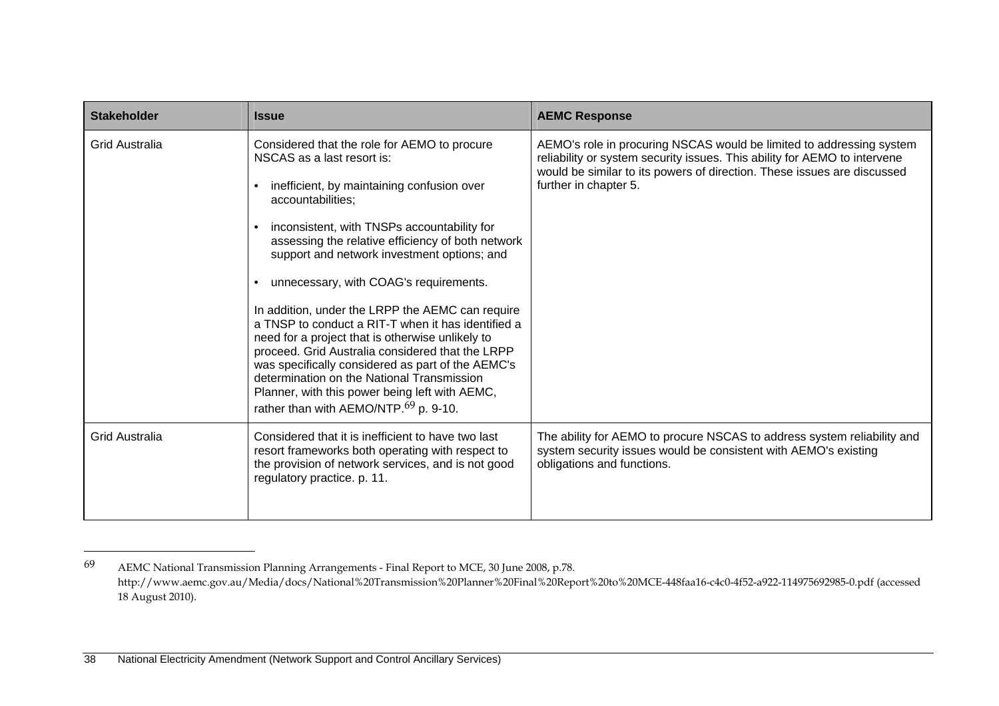| <b>Stakeholder</b>    | <b>Issue</b>                                                                                                                                                                                                                                                                                                                                                                                                                                                                                                                                                                                                                                                                                                                                                           | <b>AEMC Response</b>                                                                                                                                                                                                                                  |
|-----------------------|------------------------------------------------------------------------------------------------------------------------------------------------------------------------------------------------------------------------------------------------------------------------------------------------------------------------------------------------------------------------------------------------------------------------------------------------------------------------------------------------------------------------------------------------------------------------------------------------------------------------------------------------------------------------------------------------------------------------------------------------------------------------|-------------------------------------------------------------------------------------------------------------------------------------------------------------------------------------------------------------------------------------------------------|
| <b>Grid Australia</b> | Considered that the role for AEMO to procure<br>NSCAS as a last resort is:<br>inefficient, by maintaining confusion over<br>accountabilities;<br>inconsistent, with TNSPs accountability for<br>assessing the relative efficiency of both network<br>support and network investment options; and<br>unnecessary, with COAG's requirements.<br>In addition, under the LRPP the AEMC can require<br>a TNSP to conduct a RIT-T when it has identified a<br>need for a project that is otherwise unlikely to<br>proceed. Grid Australia considered that the LRPP<br>was specifically considered as part of the AEMC's<br>determination on the National Transmission<br>Planner, with this power being left with AEMC,<br>rather than with AEMO/NTP. <sup>69</sup> p. 9-10. | AEMO's role in procuring NSCAS would be limited to addressing system<br>reliability or system security issues. This ability for AEMO to intervene<br>would be similar to its powers of direction. These issues are discussed<br>further in chapter 5. |
| <b>Grid Australia</b> | Considered that it is inefficient to have two last<br>resort frameworks both operating with respect to<br>the provision of network services, and is not good<br>regulatory practice. p. 11.                                                                                                                                                                                                                                                                                                                                                                                                                                                                                                                                                                            | The ability for AEMO to procure NSCAS to address system reliability and<br>system security issues would be consistent with AEMO's existing<br>obligations and functions.                                                                              |

<sup>69</sup> AEMC National Transmission Planning Arrangements - Final Report to MCE, 30 June 2008, p.78. http://www.aemc.gov.au/Media/docs/National%20Transmission%20Planner%20Final%20Report%20to%20MCE-448faa16-c4c0-4f52-a922-114975692985-0.pdf (accessed 18 August 2010).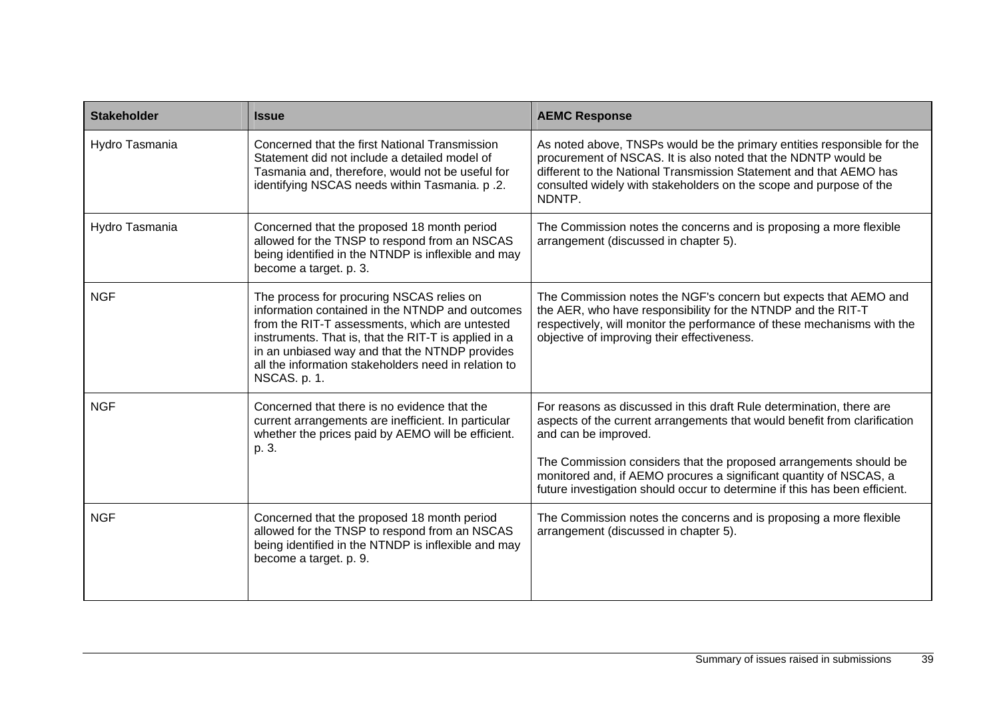| <b>Stakeholder</b> | <b>Issue</b>                                                                                                                                                                                                                                                                                                                     | <b>AEMC Response</b>                                                                                                                                                                                                                                                                                                                                                                               |
|--------------------|----------------------------------------------------------------------------------------------------------------------------------------------------------------------------------------------------------------------------------------------------------------------------------------------------------------------------------|----------------------------------------------------------------------------------------------------------------------------------------------------------------------------------------------------------------------------------------------------------------------------------------------------------------------------------------------------------------------------------------------------|
| Hydro Tasmania     | Concerned that the first National Transmission<br>Statement did not include a detailed model of<br>Tasmania and, therefore, would not be useful for<br>identifying NSCAS needs within Tasmania. p.2.                                                                                                                             | As noted above, TNSPs would be the primary entities responsible for the<br>procurement of NSCAS. It is also noted that the NDNTP would be<br>different to the National Transmission Statement and that AEMO has<br>consulted widely with stakeholders on the scope and purpose of the<br>NDNTP.                                                                                                    |
| Hydro Tasmania     | Concerned that the proposed 18 month period<br>allowed for the TNSP to respond from an NSCAS<br>being identified in the NTNDP is inflexible and may<br>become a target. p. 3.                                                                                                                                                    | The Commission notes the concerns and is proposing a more flexible<br>arrangement (discussed in chapter 5).                                                                                                                                                                                                                                                                                        |
| <b>NGF</b>         | The process for procuring NSCAS relies on<br>information contained in the NTNDP and outcomes<br>from the RIT-T assessments, which are untested<br>instruments. That is, that the RIT-T is applied in a<br>in an unbiased way and that the NTNDP provides<br>all the information stakeholders need in relation to<br>NSCAS. p. 1. | The Commission notes the NGF's concern but expects that AEMO and<br>the AER, who have responsibility for the NTNDP and the RIT-T<br>respectively, will monitor the performance of these mechanisms with the<br>objective of improving their effectiveness.                                                                                                                                         |
| <b>NGF</b>         | Concerned that there is no evidence that the<br>current arrangements are inefficient. In particular<br>whether the prices paid by AEMO will be efficient.<br>p. 3.                                                                                                                                                               | For reasons as discussed in this draft Rule determination, there are<br>aspects of the current arrangements that would benefit from clarification<br>and can be improved.<br>The Commission considers that the proposed arrangements should be<br>monitored and, if AEMO procures a significant quantity of NSCAS, a<br>future investigation should occur to determine if this has been efficient. |
| <b>NGF</b>         | Concerned that the proposed 18 month period<br>allowed for the TNSP to respond from an NSCAS<br>being identified in the NTNDP is inflexible and may<br>become a target. p. 9.                                                                                                                                                    | The Commission notes the concerns and is proposing a more flexible<br>arrangement (discussed in chapter 5).                                                                                                                                                                                                                                                                                        |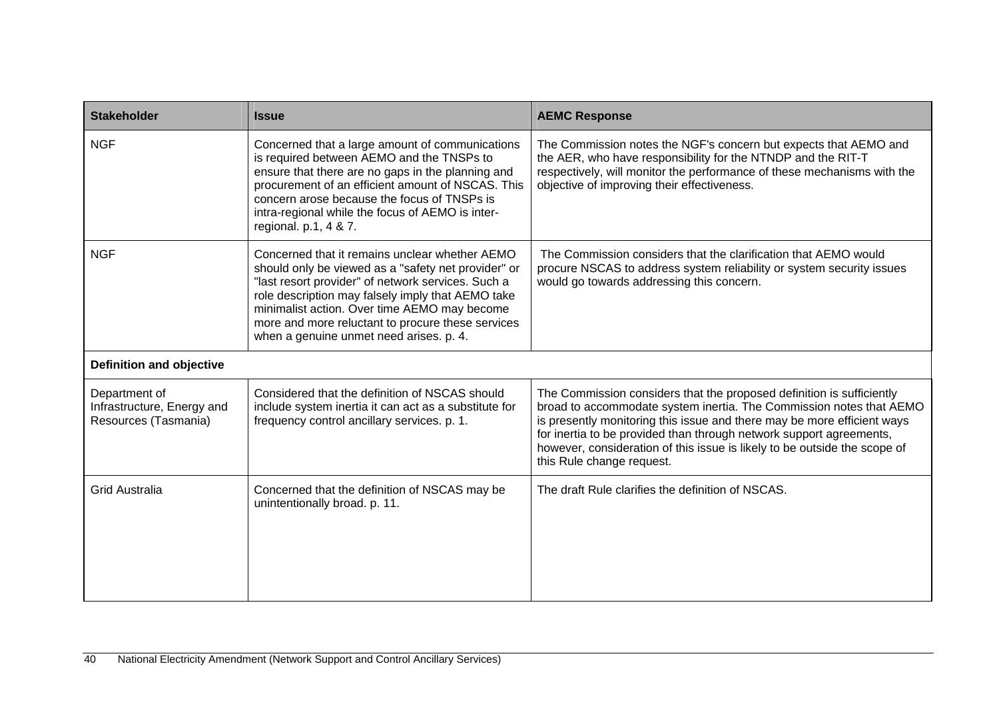| <b>Stakeholder</b>                                                  | <b>Issue</b>                                                                                                                                                                                                                                                                                                                                                     | <b>AEMC Response</b>                                                                                                                                                                                                                                                                                                                                                                                     |
|---------------------------------------------------------------------|------------------------------------------------------------------------------------------------------------------------------------------------------------------------------------------------------------------------------------------------------------------------------------------------------------------------------------------------------------------|----------------------------------------------------------------------------------------------------------------------------------------------------------------------------------------------------------------------------------------------------------------------------------------------------------------------------------------------------------------------------------------------------------|
| <b>NGF</b>                                                          | Concerned that a large amount of communications<br>is required between AEMO and the TNSPs to<br>ensure that there are no gaps in the planning and<br>procurement of an efficient amount of NSCAS. This<br>concern arose because the focus of TNSPs is<br>intra-regional while the focus of AEMO is inter-<br>regional. $p.1, 4 & 7.$                             | The Commission notes the NGF's concern but expects that AEMO and<br>the AER, who have responsibility for the NTNDP and the RIT-T<br>respectively, will monitor the performance of these mechanisms with the<br>objective of improving their effectiveness.                                                                                                                                               |
| <b>NGF</b>                                                          | Concerned that it remains unclear whether AEMO<br>should only be viewed as a "safety net provider" or<br>"last resort provider" of network services. Such a<br>role description may falsely imply that AEMO take<br>minimalist action. Over time AEMO may become<br>more and more reluctant to procure these services<br>when a genuine unmet need arises. p. 4. | The Commission considers that the clarification that AEMO would<br>procure NSCAS to address system reliability or system security issues<br>would go towards addressing this concern.                                                                                                                                                                                                                    |
| <b>Definition and objective</b>                                     |                                                                                                                                                                                                                                                                                                                                                                  |                                                                                                                                                                                                                                                                                                                                                                                                          |
| Department of<br>Infrastructure, Energy and<br>Resources (Tasmania) | Considered that the definition of NSCAS should<br>include system inertia it can act as a substitute for<br>frequency control ancillary services. p. 1.                                                                                                                                                                                                           | The Commission considers that the proposed definition is sufficiently<br>broad to accommodate system inertia. The Commission notes that AEMO<br>is presently monitoring this issue and there may be more efficient ways<br>for inertia to be provided than through network support agreements,<br>however, consideration of this issue is likely to be outside the scope of<br>this Rule change request. |
| <b>Grid Australia</b>                                               | Concerned that the definition of NSCAS may be<br>unintentionally broad. p. 11.                                                                                                                                                                                                                                                                                   | The draft Rule clarifies the definition of NSCAS.                                                                                                                                                                                                                                                                                                                                                        |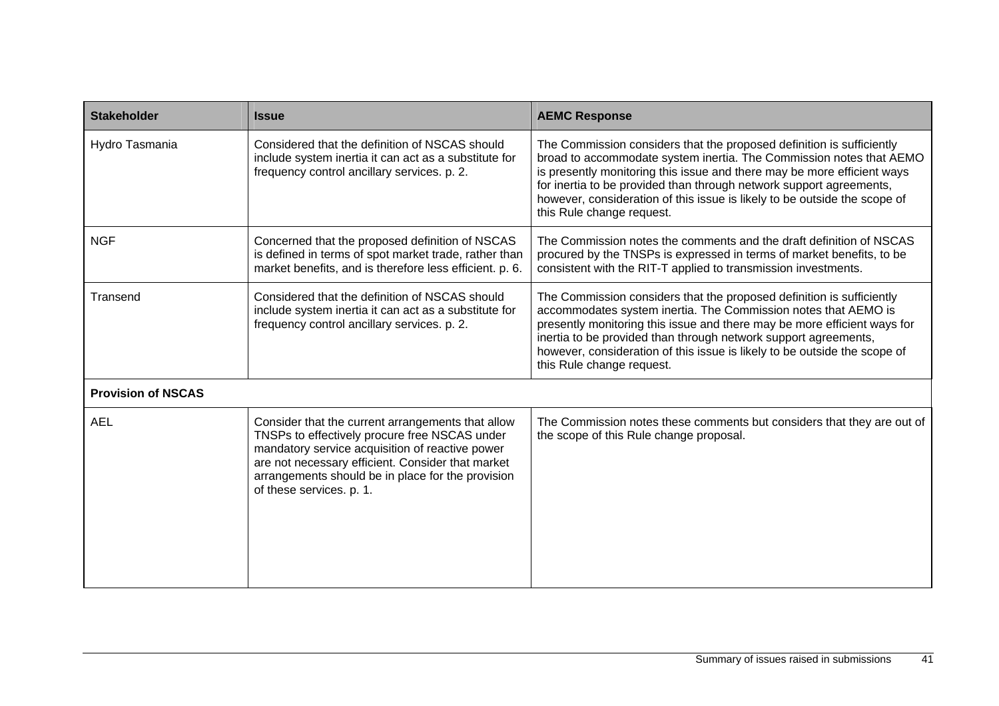| <b>Stakeholder</b>        | <b>Issue</b>                                                                                                                                                                                                                                                                                | <b>AEMC Response</b>                                                                                                                                                                                                                                                                                                                                                                                     |
|---------------------------|---------------------------------------------------------------------------------------------------------------------------------------------------------------------------------------------------------------------------------------------------------------------------------------------|----------------------------------------------------------------------------------------------------------------------------------------------------------------------------------------------------------------------------------------------------------------------------------------------------------------------------------------------------------------------------------------------------------|
| Hydro Tasmania            | Considered that the definition of NSCAS should<br>include system inertia it can act as a substitute for<br>frequency control ancillary services. p. 2.                                                                                                                                      | The Commission considers that the proposed definition is sufficiently<br>broad to accommodate system inertia. The Commission notes that AEMO<br>is presently monitoring this issue and there may be more efficient ways<br>for inertia to be provided than through network support agreements,<br>however, consideration of this issue is likely to be outside the scope of<br>this Rule change request. |
| <b>NGF</b>                | Concerned that the proposed definition of NSCAS<br>is defined in terms of spot market trade, rather than<br>market benefits, and is therefore less efficient. p. 6.                                                                                                                         | The Commission notes the comments and the draft definition of NSCAS<br>procured by the TNSPs is expressed in terms of market benefits, to be<br>consistent with the RIT-T applied to transmission investments.                                                                                                                                                                                           |
| Transend                  | Considered that the definition of NSCAS should<br>include system inertia it can act as a substitute for<br>frequency control ancillary services. p. 2.                                                                                                                                      | The Commission considers that the proposed definition is sufficiently<br>accommodates system inertia. The Commission notes that AEMO is<br>presently monitoring this issue and there may be more efficient ways for<br>inertia to be provided than through network support agreements,<br>however, consideration of this issue is likely to be outside the scope of<br>this Rule change request.         |
| <b>Provision of NSCAS</b> |                                                                                                                                                                                                                                                                                             |                                                                                                                                                                                                                                                                                                                                                                                                          |
| <b>AEL</b>                | Consider that the current arrangements that allow<br>TNSPs to effectively procure free NSCAS under<br>mandatory service acquisition of reactive power<br>are not necessary efficient. Consider that market<br>arrangements should be in place for the provision<br>of these services. p. 1. | The Commission notes these comments but considers that they are out of<br>the scope of this Rule change proposal.                                                                                                                                                                                                                                                                                        |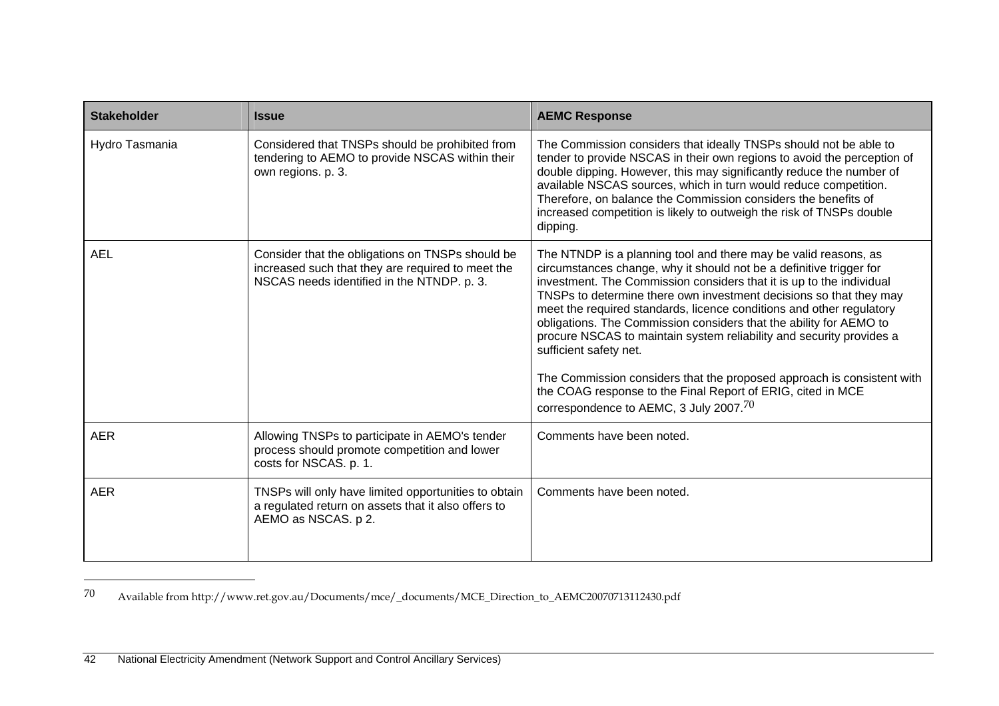| <b>Stakeholder</b> | <b>Issue</b>                                                                                                                                        | <b>AEMC Response</b>                                                                                                                                                                                                                                                                                                                                                                                                                                                                                                                                                                                                                                                                                                    |
|--------------------|-----------------------------------------------------------------------------------------------------------------------------------------------------|-------------------------------------------------------------------------------------------------------------------------------------------------------------------------------------------------------------------------------------------------------------------------------------------------------------------------------------------------------------------------------------------------------------------------------------------------------------------------------------------------------------------------------------------------------------------------------------------------------------------------------------------------------------------------------------------------------------------------|
| Hydro Tasmania     | Considered that TNSPs should be prohibited from<br>tendering to AEMO to provide NSCAS within their<br>own regions. p. 3.                            | The Commission considers that ideally TNSPs should not be able to<br>tender to provide NSCAS in their own regions to avoid the perception of<br>double dipping. However, this may significantly reduce the number of<br>available NSCAS sources, which in turn would reduce competition.<br>Therefore, on balance the Commission considers the benefits of<br>increased competition is likely to outweigh the risk of TNSPs double<br>dipping.                                                                                                                                                                                                                                                                          |
| <b>AEL</b>         | Consider that the obligations on TNSPs should be<br>increased such that they are required to meet the<br>NSCAS needs identified in the NTNDP. p. 3. | The NTNDP is a planning tool and there may be valid reasons, as<br>circumstances change, why it should not be a definitive trigger for<br>investment. The Commission considers that it is up to the individual<br>TNSPs to determine there own investment decisions so that they may<br>meet the required standards, licence conditions and other regulatory<br>obligations. The Commission considers that the ability for AEMO to<br>procure NSCAS to maintain system reliability and security provides a<br>sufficient safety net.<br>The Commission considers that the proposed approach is consistent with<br>the COAG response to the Final Report of ERIG, cited in MCE<br>correspondence to AEMC, 3 July 2007.70 |
| <b>AER</b>         | Allowing TNSPs to participate in AEMO's tender<br>process should promote competition and lower<br>costs for NSCAS. p. 1.                            | Comments have been noted.                                                                                                                                                                                                                                                                                                                                                                                                                                                                                                                                                                                                                                                                                               |
| <b>AER</b>         | TNSPs will only have limited opportunities to obtain<br>a regulated return on assets that it also offers to<br>AEMO as NSCAS. p 2.                  | Comments have been noted.                                                                                                                                                                                                                                                                                                                                                                                                                                                                                                                                                                                                                                                                                               |

<sup>70</sup> Available from http://www.ret.gov.au/Documents/mce/\_documents/MCE\_Direction\_to\_AEMC20070713112430.pdf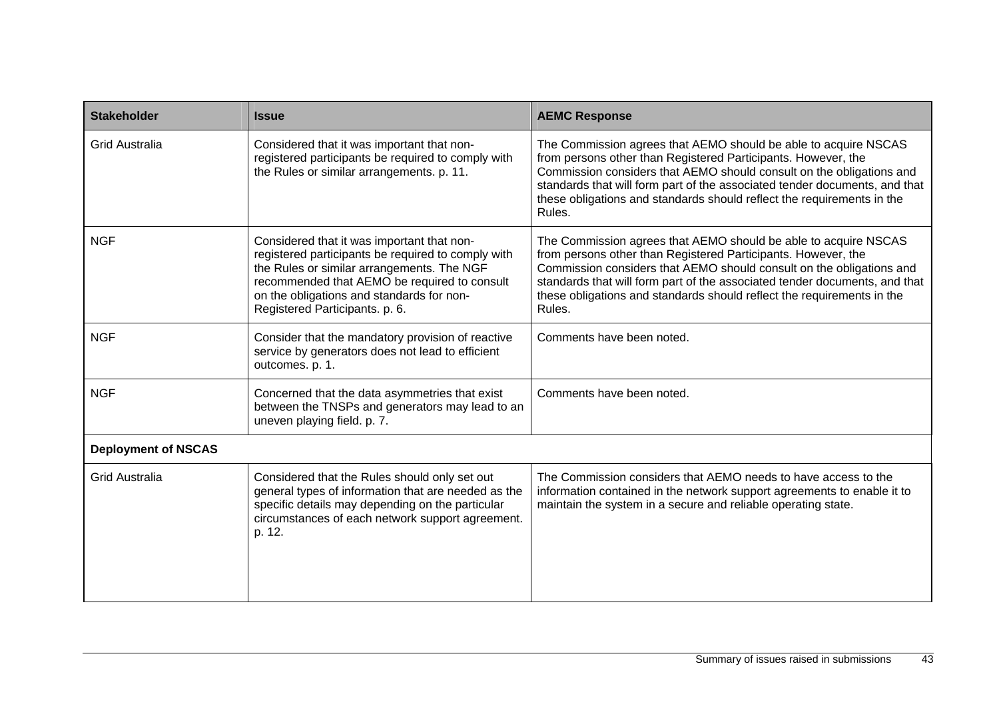| <b>Stakeholder</b>         | <b>Issue</b>                                                                                                                                                                                                                                                                  | <b>AEMC Response</b>                                                                                                                                                                                                                                                                                                                                                       |
|----------------------------|-------------------------------------------------------------------------------------------------------------------------------------------------------------------------------------------------------------------------------------------------------------------------------|----------------------------------------------------------------------------------------------------------------------------------------------------------------------------------------------------------------------------------------------------------------------------------------------------------------------------------------------------------------------------|
| <b>Grid Australia</b>      | Considered that it was important that non-<br>registered participants be required to comply with<br>the Rules or similar arrangements. p. 11.                                                                                                                                 | The Commission agrees that AEMO should be able to acquire NSCAS<br>from persons other than Registered Participants. However, the<br>Commission considers that AEMO should consult on the obligations and<br>standards that will form part of the associated tender documents, and that<br>these obligations and standards should reflect the requirements in the<br>Rules. |
| <b>NGF</b>                 | Considered that it was important that non-<br>registered participants be required to comply with<br>the Rules or similar arrangements. The NGF<br>recommended that AEMO be required to consult<br>on the obligations and standards for non-<br>Registered Participants. p. 6. | The Commission agrees that AEMO should be able to acquire NSCAS<br>from persons other than Registered Participants. However, the<br>Commission considers that AEMO should consult on the obligations and<br>standards that will form part of the associated tender documents, and that<br>these obligations and standards should reflect the requirements in the<br>Rules. |
| <b>NGF</b>                 | Consider that the mandatory provision of reactive<br>service by generators does not lead to efficient<br>outcomes. p. 1.                                                                                                                                                      | Comments have been noted.                                                                                                                                                                                                                                                                                                                                                  |
| <b>NGF</b>                 | Concerned that the data asymmetries that exist<br>between the TNSPs and generators may lead to an<br>uneven playing field. p. 7.                                                                                                                                              | Comments have been noted.                                                                                                                                                                                                                                                                                                                                                  |
| <b>Deployment of NSCAS</b> |                                                                                                                                                                                                                                                                               |                                                                                                                                                                                                                                                                                                                                                                            |
| <b>Grid Australia</b>      | Considered that the Rules should only set out<br>general types of information that are needed as the<br>specific details may depending on the particular<br>circumstances of each network support agreement.<br>p. 12.                                                        | The Commission considers that AEMO needs to have access to the<br>information contained in the network support agreements to enable it to<br>maintain the system in a secure and reliable operating state.                                                                                                                                                                 |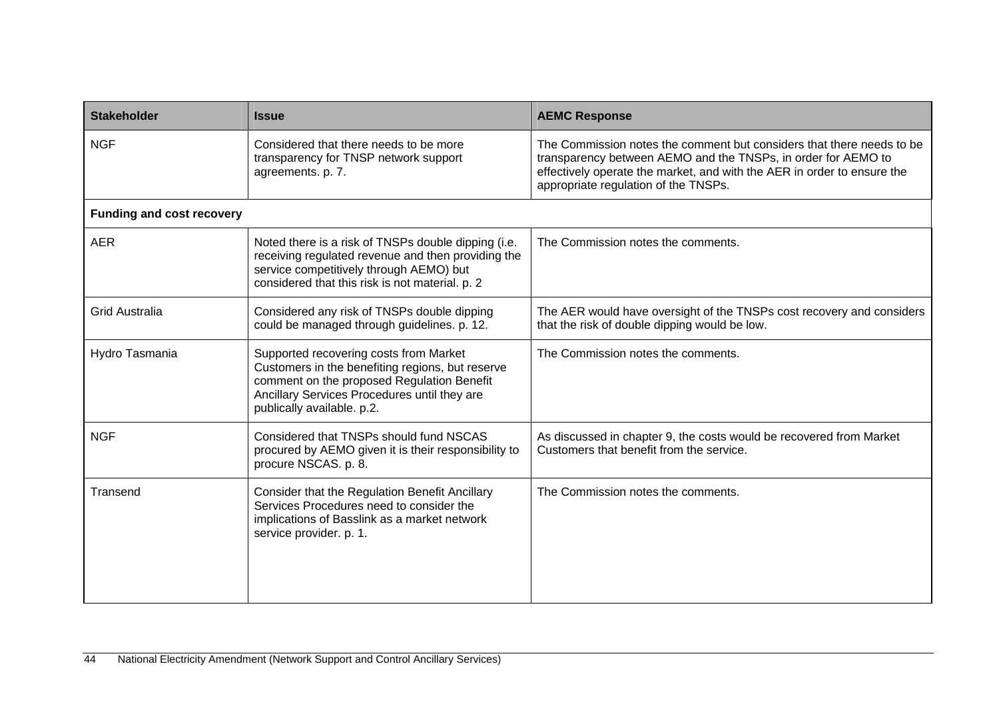| <b>Stakeholder</b>               | <b>Issue</b>                                                                                                                                                                                                           | <b>AEMC Response</b>                                                                                                                                                                                                                                      |  |
|----------------------------------|------------------------------------------------------------------------------------------------------------------------------------------------------------------------------------------------------------------------|-----------------------------------------------------------------------------------------------------------------------------------------------------------------------------------------------------------------------------------------------------------|--|
| <b>NGF</b>                       | Considered that there needs to be more<br>transparency for TNSP network support<br>agreements. p. 7.                                                                                                                   | The Commission notes the comment but considers that there needs to be<br>transparency between AEMO and the TNSPs, in order for AEMO to<br>effectively operate the market, and with the AER in order to ensure the<br>appropriate regulation of the TNSPs. |  |
| <b>Funding and cost recovery</b> |                                                                                                                                                                                                                        |                                                                                                                                                                                                                                                           |  |
| <b>AER</b>                       | Noted there is a risk of TNSPs double dipping (i.e.<br>receiving regulated revenue and then providing the<br>service competitively through AEMO) but<br>considered that this risk is not material. p. 2                | The Commission notes the comments.                                                                                                                                                                                                                        |  |
| <b>Grid Australia</b>            | Considered any risk of TNSPs double dipping<br>could be managed through guidelines. p. 12.                                                                                                                             | The AER would have oversight of the TNSPs cost recovery and considers<br>that the risk of double dipping would be low.                                                                                                                                    |  |
| Hydro Tasmania                   | Supported recovering costs from Market<br>Customers in the benefiting regions, but reserve<br>comment on the proposed Regulation Benefit<br>Ancillary Services Procedures until they are<br>publically available. p.2. | The Commission notes the comments.                                                                                                                                                                                                                        |  |
| <b>NGF</b>                       | Considered that TNSPs should fund NSCAS<br>procured by AEMO given it is their responsibility to<br>procure NSCAS. p. 8.                                                                                                | As discussed in chapter 9, the costs would be recovered from Market<br>Customers that benefit from the service.                                                                                                                                           |  |
| Transend                         | Consider that the Regulation Benefit Ancillary<br>Services Procedures need to consider the<br>implications of Basslink as a market network<br>service provider. p. 1.                                                  | The Commission notes the comments.                                                                                                                                                                                                                        |  |